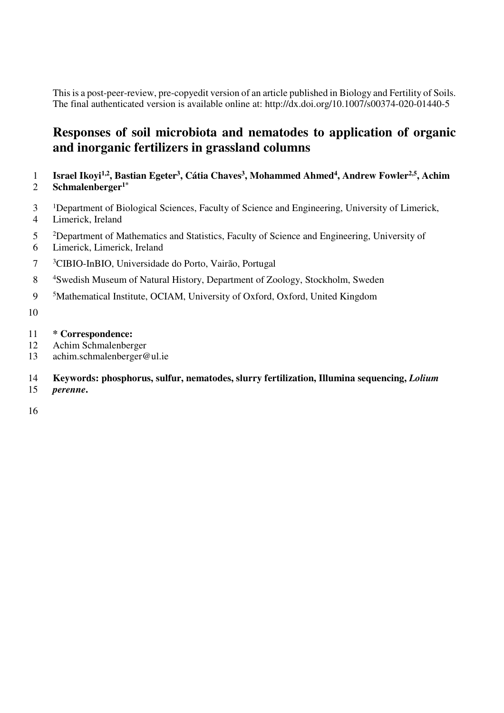This is a post-peer-review, pre-copyedit version of an article published in Biology and Fertility of Soils. The final authenticated version is available online at: http://dx.doi.org/10.1007/s00374-020-01440-5

# **Responses of soil microbiota and nematodes to application of organic and inorganic fertilizers in grassland columns**

- **Israel Ikoyi1,2, Bastian Egeter<sup>3</sup> , Cátia Chaves<sup>3</sup> , Mohammed Ahmed<sup>4</sup> , Andrew Fowler2,5** 1 **, Achim**
- **Schmalenberger1\*** 2
- 3 <sup>1</sup>Department of Biological Sciences, Faculty of Science and Engineering, University of Limerick, 4 Limerick, Ireland
- 5 <sup>2</sup>Department of Mathematics and Statistics, Faculty of Science and Engineering, University of
- 6 Limerick, Limerick, Ireland
- 7 <sup>3</sup>CIBIO-InBIO, Universidade do Porto, Vairão, Portugal
- <sup>4</sup> 8 Swedish Museum of Natural History, Department of Zoology, Stockholm, Sweden
- 9 <sup>5</sup>Mathematical Institute, OCIAM, University of Oxford, Oxford, United Kingdom
- 10
- 11 **\* Correspondence:**
- 12 Achim Schmalenberger
- 13 achim.schmalenberger@ul.ie
- 14 **Keywords: phosphorus, sulfur, nematodes, slurry fertilization, Illumina sequencing,** *Lolium*
- 15 *perenne***.**
- 16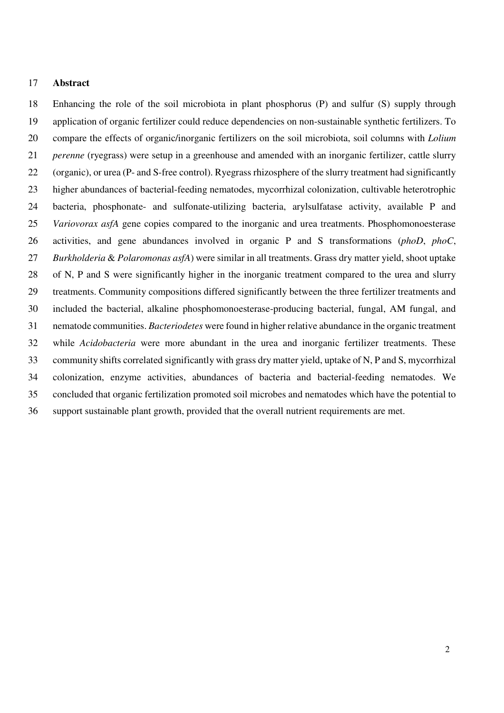#### 17 **Abstract**

18 Enhancing the role of the soil microbiota in plant phosphorus (P) and sulfur (S) supply through 19 application of organic fertilizer could reduce dependencies on non-sustainable synthetic fertilizers. To 20 compare the effects of organic/inorganic fertilizers on the soil microbiota, soil columns with *Lolium* 21 *perenne* (ryegrass) were setup in a greenhouse and amended with an inorganic fertilizer, cattle slurry 22 (organic), or urea (P- and S-free control). Ryegrass rhizosphere of the slurry treatment had significantly 23 higher abundances of bacterial-feeding nematodes, mycorrhizal colonization, cultivable heterotrophic 24 bacteria, phosphonate- and sulfonate-utilizing bacteria, arylsulfatase activity, available P and 25 *Variovorax asfA* gene copies compared to the inorganic and urea treatments. Phosphomonoesterase 26 activities, and gene abundances involved in organic P and S transformations (*phoD*, *phoC*, 27 *Burkholderia* & *Polaromonas asfA*) were similar in all treatments. Grass dry matter yield, shoot uptake 28 of N, P and S were significantly higher in the inorganic treatment compared to the urea and slurry 29 treatments. Community compositions differed significantly between the three fertilizer treatments and 30 included the bacterial, alkaline phosphomonoesterase-producing bacterial, fungal, AM fungal, and 31 nematode communities. *Bacteriodetes* were found in higher relative abundance in the organic treatment 32 while *Acidobacteria* were more abundant in the urea and inorganic fertilizer treatments. These 33 community shifts correlated significantly with grass dry matter yield, uptake of N, P and S, mycorrhizal 34 colonization, enzyme activities, abundances of bacteria and bacterial-feeding nematodes. We 35 concluded that organic fertilization promoted soil microbes and nematodes which have the potential to 36 support sustainable plant growth, provided that the overall nutrient requirements are met.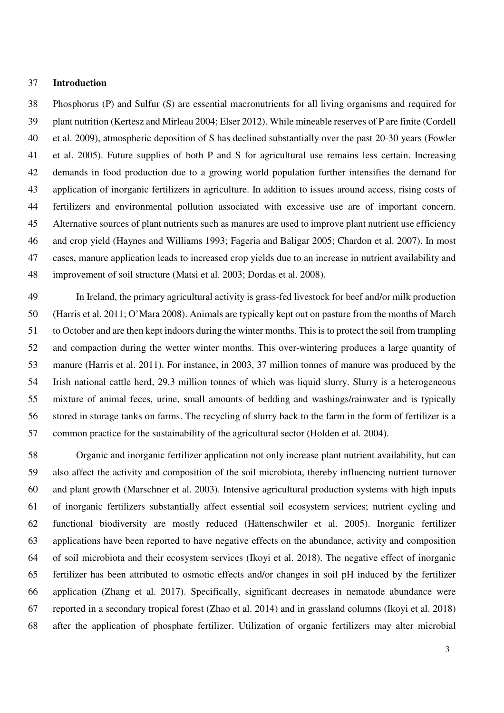#### 37 **Introduction**

38 Phosphorus (P) and Sulfur (S) are essential macronutrients for all living organisms and required for 39 plant nutrition (Kertesz and Mirleau 2004; Elser 2012). While mineable reserves of P are finite (Cordell 40 et al. 2009), atmospheric deposition of S has declined substantially over the past 20-30 years (Fowler 41 et al. 2005). Future supplies of both P and S for agricultural use remains less certain. Increasing 42 demands in food production due to a growing world population further intensifies the demand for 43 application of inorganic fertilizers in agriculture. In addition to issues around access, rising costs of 44 fertilizers and environmental pollution associated with excessive use are of important concern. 45 Alternative sources of plant nutrients such as manures are used to improve plant nutrient use efficiency 46 and crop yield (Haynes and Williams 1993; Fageria and Baligar 2005; Chardon et al. 2007). In most 47 cases, manure application leads to increased crop yields due to an increase in nutrient availability and 48 improvement of soil structure (Matsi et al. 2003; Dordas et al. 2008).

49 In Ireland, the primary agricultural activity is grass-fed livestock for beef and/or milk production 50 (Harris et al. 2011; O'Mara 2008). Animals are typically kept out on pasture from the months of March 51 to October and are then kept indoors during the winter months. This is to protect the soil from trampling 52 and compaction during the wetter winter months. This over-wintering produces a large quantity of 53 manure (Harris et al. 2011). For instance, in 2003, 37 million tonnes of manure was produced by the 54 Irish national cattle herd, 29.3 million tonnes of which was liquid slurry. Slurry is a heterogeneous 55 mixture of animal feces, urine, small amounts of bedding and washings/rainwater and is typically 56 stored in storage tanks on farms. The recycling of slurry back to the farm in the form of fertilizer is a 57 common practice for the sustainability of the agricultural sector (Holden et al. 2004).

58 Organic and inorganic fertilizer application not only increase plant nutrient availability, but can 59 also affect the activity and composition of the soil microbiota, thereby influencing nutrient turnover 60 and plant growth (Marschner et al. 2003). Intensive agricultural production systems with high inputs 61 of inorganic fertilizers substantially affect essential soil ecosystem services; nutrient cycling and 62 functional biodiversity are mostly reduced (Hättenschwiler et al. 2005). Inorganic fertilizer 63 applications have been reported to have negative effects on the abundance, activity and composition 64 of soil microbiota and their ecosystem services (Ikoyi et al. 2018). The negative effect of inorganic 65 fertilizer has been attributed to osmotic effects and/or changes in soil pH induced by the fertilizer 66 application (Zhang et al. 2017). Specifically, significant decreases in nematode abundance were 67 reported in a secondary tropical forest (Zhao et al. 2014) and in grassland columns (Ikoyi et al. 2018) 68 after the application of phosphate fertilizer. Utilization of organic fertilizers may alter microbial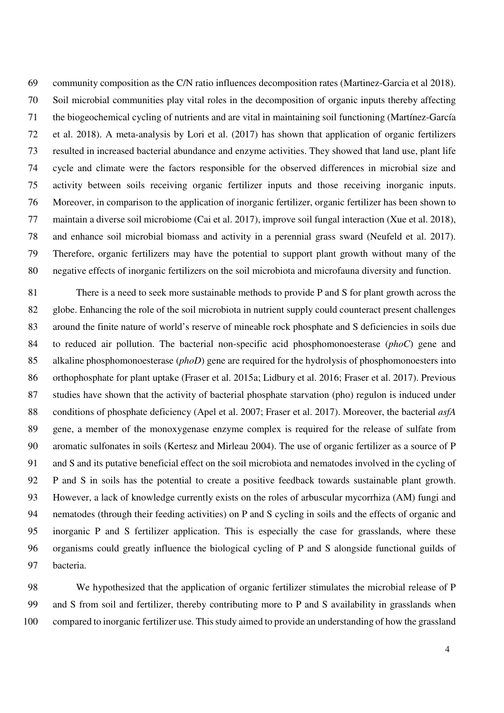69 community composition as the C/N ratio influences decomposition rates (Martinez-Garcia et al 2018). 70 Soil microbial communities play vital roles in the decomposition of organic inputs thereby affecting 71 the biogeochemical cycling of nutrients and are vital in maintaining soil functioning (Martínez-García 72 et al. 2018). A meta-analysis by Lori et al. (2017) has shown that application of organic fertilizers 73 resulted in increased bacterial abundance and enzyme activities. They showed that land use, plant life 74 cycle and climate were the factors responsible for the observed differences in microbial size and 75 activity between soils receiving organic fertilizer inputs and those receiving inorganic inputs. 76 Moreover, in comparison to the application of inorganic fertilizer, organic fertilizer has been shown to 77 maintain a diverse soil microbiome (Cai et al. 2017), improve soil fungal interaction (Xue et al. 2018), 78 and enhance soil microbial biomass and activity in a perennial grass sward (Neufeld et al. 2017). 79 Therefore, organic fertilizers may have the potential to support plant growth without many of the 80 negative effects of inorganic fertilizers on the soil microbiota and microfauna diversity and function.

81 There is a need to seek more sustainable methods to provide P and S for plant growth across the 82 globe. Enhancing the role of the soil microbiota in nutrient supply could counteract present challenges 83 around the finite nature of world's reserve of mineable rock phosphate and S deficiencies in soils due 84 to reduced air pollution. The bacterial non-specific acid phosphomonoesterase (*phoC*) gene and 85 alkaline phosphomonoesterase (*phoD*) gene are required for the hydrolysis of phosphomonoesters into 86 orthophosphate for plant uptake (Fraser et al. 2015a; Lidbury et al. 2016; Fraser et al. 2017). Previous 87 studies have shown that the activity of bacterial phosphate starvation (pho) regulon is induced under 88 conditions of phosphate deficiency (Apel et al. 2007; Fraser et al. 2017). Moreover, the bacterial *asfA* 89 gene, a member of the monoxygenase enzyme complex is required for the release of sulfate from 90 aromatic sulfonates in soils (Kertesz and Mirleau 2004). The use of organic fertilizer as a source of P 91 and S and its putative beneficial effect on the soil microbiota and nematodes involved in the cycling of 92 P and S in soils has the potential to create a positive feedback towards sustainable plant growth. 93 However, a lack of knowledge currently exists on the roles of arbuscular mycorrhiza (AM) fungi and 94 nematodes (through their feeding activities) on P and S cycling in soils and the effects of organic and 95 inorganic P and S fertilizer application. This is especially the case for grasslands, where these 96 organisms could greatly influence the biological cycling of P and S alongside functional guilds of 97 bacteria.

98 We hypothesized that the application of organic fertilizer stimulates the microbial release of P 99 and S from soil and fertilizer, thereby contributing more to P and S availability in grasslands when 100 compared to inorganic fertilizer use. This study aimed to provide an understanding of how the grassland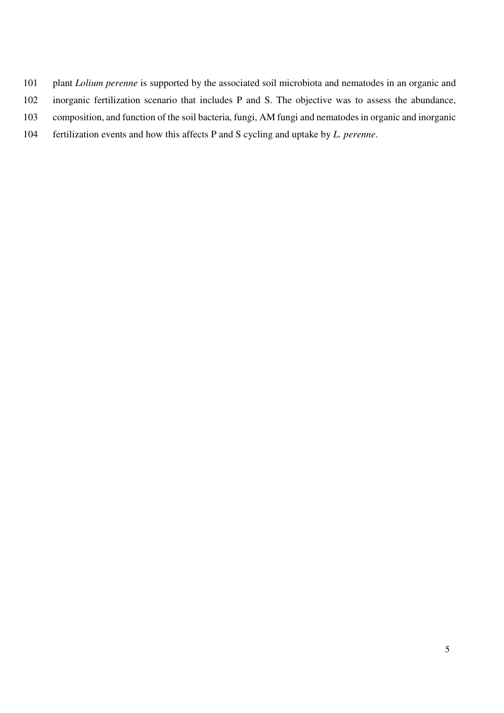- 101 plant *Lolium perenne* is supported by the associated soil microbiota and nematodes in an organic and
- 102 inorganic fertilization scenario that includes P and S. The objective was to assess the abundance,
- 103 composition, and function of the soil bacteria, fungi, AM fungi and nematodes in organic and inorganic
- 104 fertilization events and how this affects P and S cycling and uptake by *L. perenne*.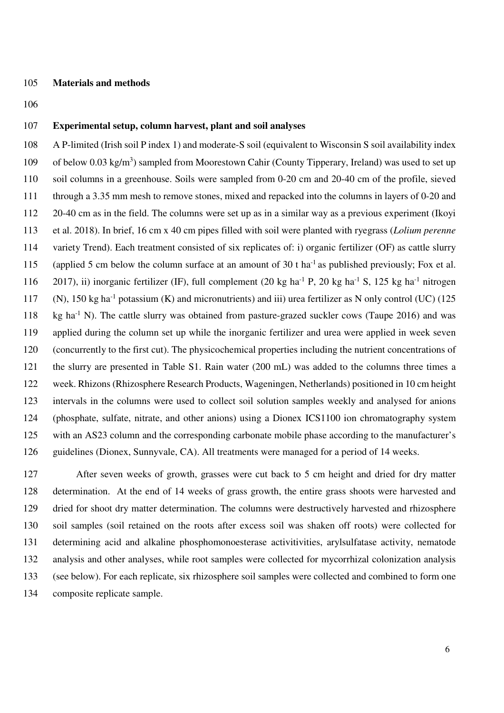#### 105 **Materials and methods**

106

# 107 **Experimental setup, column harvest, plant and soil analyses**

108 A P-limited (Irish soil P index 1) and moderate-S soil (equivalent to Wisconsin S soil availability index 109 of below 0.03 kg/m<sup>3</sup>) sampled from Moorestown Cahir (County Tipperary, Ireland) was used to set up 110 soil columns in a greenhouse. Soils were sampled from 0-20 cm and 20-40 cm of the profile, sieved 111 through a 3.35 mm mesh to remove stones, mixed and repacked into the columns in layers of 0-20 and 112 20-40 cm as in the field. The columns were set up as in a similar way as a previous experiment (Ikoyi 113 et al. 2018). In brief, 16 cm x 40 cm pipes filled with soil were planted with ryegrass (*Lolium perenne*  114 variety Trend). Each treatment consisted of six replicates of: i) organic fertilizer (OF) as cattle slurry 115 (applied 5 cm below the column surface at an amount of 30 t ha<sup>-1</sup> as published previously; Fox et al. 116 2017), ii) inorganic fertilizer (IF), full complement (20 kg ha<sup>-1</sup> P, 20 kg ha<sup>-1</sup> S, 125 kg ha<sup>-1</sup> nitrogen (N), 150 kg ha<sup>-1</sup> potassium (K) and micronutrients) and iii) urea fertilizer as N only control (UC) (125 118  $\,$  kg ha<sup>-1</sup> N). The cattle slurry was obtained from pasture-grazed suckler cows (Taupe 2016) and was 119 applied during the column set up while the inorganic fertilizer and urea were applied in week seven 120 (concurrently to the first cut). The physicochemical properties including the nutrient concentrations of 121 the slurry are presented in Table S1. Rain water (200 mL) was added to the columns three times a 122 week. Rhizons (Rhizosphere Research Products, Wageningen, Netherlands) positioned in 10 cm height 123 intervals in the columns were used to collect soil solution samples weekly and analysed for anions 124 (phosphate, sulfate, nitrate, and other anions) using a Dionex ICS1100 ion chromatography system 125 with an AS23 column and the corresponding carbonate mobile phase according to the manufacturer's 126 guidelines (Dionex, Sunnyvale, CA). All treatments were managed for a period of 14 weeks.

127 After seven weeks of growth, grasses were cut back to 5 cm height and dried for dry matter 128 determination. At the end of 14 weeks of grass growth, the entire grass shoots were harvested and 129 dried for shoot dry matter determination. The columns were destructively harvested and rhizosphere 130 soil samples (soil retained on the roots after excess soil was shaken off roots) were collected for 131 determining acid and alkaline phosphomonoesterase activitivities, arylsulfatase activity, nematode 132 analysis and other analyses, while root samples were collected for mycorrhizal colonization analysis 133 (see below). For each replicate, six rhizosphere soil samples were collected and combined to form one 134 composite replicate sample.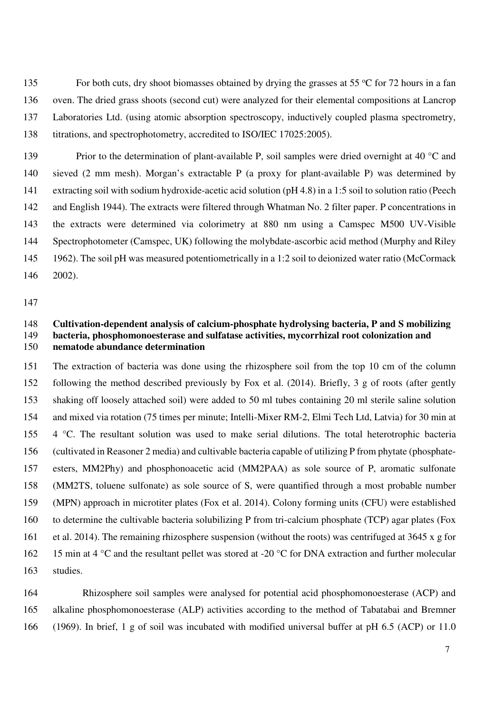For both cuts, dry shoot biomasses obtained by drying the grasses at 55  $\degree$ C for 72 hours in a fan 136 oven. The dried grass shoots (second cut) were analyzed for their elemental compositions at Lancrop 137 Laboratories Ltd. (using atomic absorption spectroscopy, inductively coupled plasma spectrometry, 138 titrations, and spectrophotometry, accredited to ISO/IEC 17025:2005).

139 Prior to the determination of plant-available P, soil samples were dried overnight at 40 °C and 140 sieved (2 mm mesh). Morgan's extractable P (a proxy for plant-available P) was determined by 141 extracting soil with sodium hydroxide-acetic acid solution (pH 4.8) in a 1:5 soil to solution ratio (Peech 142 and English 1944). The extracts were filtered through Whatman No. 2 filter paper. P concentrations in 143 the extracts were determined via colorimetry at 880 nm using a Camspec M500 UV-Visible 144 Spectrophotometer (Camspec, UK) following the molybdate-ascorbic acid method (Murphy and Riley 145 1962). The soil pH was measured potentiometrically in a 1:2 soil to deionized water ratio (McCormack 146 2002).

147

## 148 **Cultivation-dependent analysis of calcium-phosphate hydrolysing bacteria, P and S mobilizing**  bacteria, phosphomonoesterase and sulfatase activities, mycorrhizal root colonization and 150 **nematode abundance determination**

151 The extraction of bacteria was done using the rhizosphere soil from the top 10 cm of the column 152 following the method described previously by Fox et al. (2014). Briefly, 3 g of roots (after gently 153 shaking off loosely attached soil) were added to 50 ml tubes containing 20 ml sterile saline solution 154 and mixed via rotation (75 times per minute; Intelli-Mixer RM-2, Elmi Tech Ltd, Latvia) for 30 min at 155 4 °C. The resultant solution was used to make serial dilutions. The total heterotrophic bacteria 156 (cultivated in Reasoner 2 media) and cultivable bacteria capable of utilizing P from phytate (phosphate-157 esters, MM2Phy) and phosphonoacetic acid (MM2PAA) as sole source of P, aromatic sulfonate 158 (MM2TS, toluene sulfonate) as sole source of S, were quantified through a most probable number 159 (MPN) approach in microtiter plates (Fox et al. 2014). Colony forming units (CFU) were established 160 to determine the cultivable bacteria solubilizing P from tri-calcium phosphate (TCP) agar plates (Fox 161 et al. 2014). The remaining rhizosphere suspension (without the roots) was centrifuged at 3645 x g for 162 15 min at 4 °C and the resultant pellet was stored at -20 °C for DNA extraction and further molecular 163 studies.

164 Rhizosphere soil samples were analysed for potential acid phosphomonoesterase (ACP) and 165 alkaline phosphomonoesterase (ALP) activities according to the method of Tabatabai and Bremner 166 (1969). In brief, 1 g of soil was incubated with modified universal buffer at pH 6.5 (ACP) or 11.0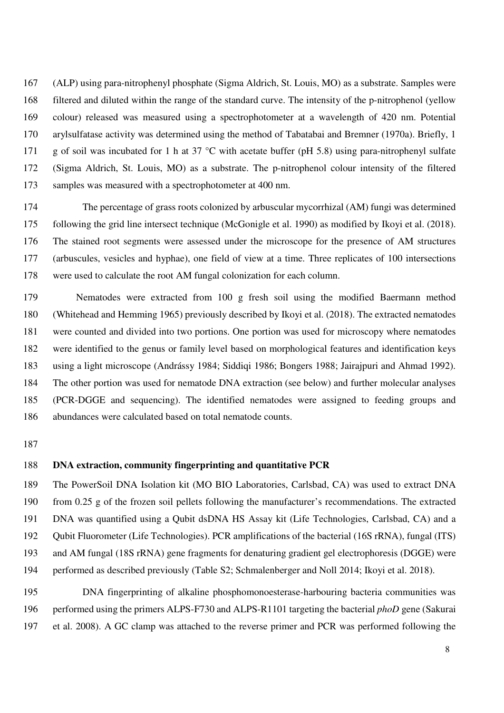167 (ALP) using para-nitrophenyl phosphate (Sigma Aldrich, St. Louis, MO) as a substrate. Samples were 168 filtered and diluted within the range of the standard curve. The intensity of the p-nitrophenol (yellow 169 colour) released was measured using a spectrophotometer at a wavelength of 420 nm. Potential 170 arylsulfatase activity was determined using the method of Tabatabai and Bremner (1970a). Briefly, 1 171 g of soil was incubated for 1 h at 37 °C with acetate buffer (pH 5.8) using para-nitrophenyl sulfate 172 (Sigma Aldrich, St. Louis, MO) as a substrate. The p-nitrophenol colour intensity of the filtered 173 samples was measured with a spectrophotometer at 400 nm.

174 The percentage of grass roots colonized by arbuscular mycorrhizal (AM) fungi was determined 175 following the grid line intersect technique (McGonigle et al. 1990) as modified by Ikoyi et al. (2018). 176 The stained root segments were assessed under the microscope for the presence of AM structures 177 (arbuscules, vesicles and hyphae), one field of view at a time. Three replicates of 100 intersections 178 were used to calculate the root AM fungal colonization for each column.

179 Nematodes were extracted from 100 g fresh soil using the modified Baermann method 180 (Whitehead and Hemming 1965) previously described by Ikoyi et al. (2018). The extracted nematodes 181 were counted and divided into two portions. One portion was used for microscopy where nematodes 182 were identified to the genus or family level based on morphological features and identification keys 183 using a light microscope (Andrássy 1984; Siddiqi 1986; Bongers 1988; Jairajpuri and Ahmad 1992). 184 The other portion was used for nematode DNA extraction (see below) and further molecular analyses 185 (PCR-DGGE and sequencing). The identified nematodes were assigned to feeding groups and 186 abundances were calculated based on total nematode counts.

187

#### 188 **DNA extraction, community fingerprinting and quantitative PCR**

189 The PowerSoil DNA Isolation kit (MO BIO Laboratories, Carlsbad, CA) was used to extract DNA 190 from 0.25 g of the frozen soil pellets following the manufacturer's recommendations. The extracted 191 DNA was quantified using a Qubit dsDNA HS Assay kit (Life Technologies, Carlsbad, CA) and a 192 Qubit Fluorometer (Life Technologies). PCR amplifications of the bacterial (16S rRNA), fungal (ITS) 193 and AM fungal (18S rRNA) gene fragments for denaturing gradient gel electrophoresis (DGGE) were 194 performed as described previously (Table S2; Schmalenberger and Noll 2014; Ikoyi et al. 2018). 195 DNA fingerprinting of alkaline phosphomonoesterase-harbouring bacteria communities was

196 performed using the primers ALPS-F730 and ALPS-R1101 targeting the bacterial *phoD* gene (Sakurai 197 et al. 2008). A GC clamp was attached to the reverse primer and PCR was performed following the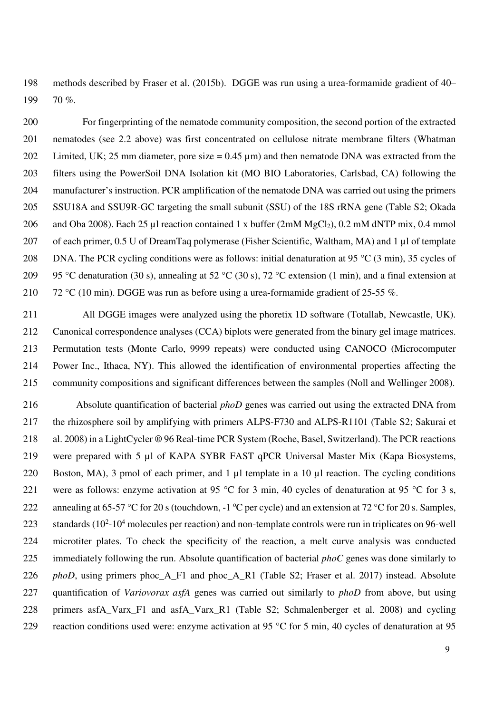198 methods described by Fraser et al. (2015b). DGGE was run using a urea-formamide gradient of 40– 199 70 %.

200 For fingerprinting of the nematode community composition, the second portion of the extracted 201 nematodes (see 2.2 above) was first concentrated on cellulose nitrate membrane filters (Whatman 202 Limited, UK; 25 mm diameter, pore size  $= 0.45 \,\mu$ m) and then nematode DNA was extracted from the 203 filters using the PowerSoil DNA Isolation kit (MO BIO Laboratories, Carlsbad, CA) following the 204 manufacturer's instruction. PCR amplification of the nematode DNA was carried out using the primers 205 SSU18A and SSU9R-GC targeting the small subunit (SSU) of the 18S rRNA gene (Table S2; Okada 206 and Oba 2008). Each 25 µl reaction contained 1 x buffer (2mM MgCl<sub>2</sub>), 0.2 mM dNTP mix, 0.4 mmol 207 of each primer, 0.5 U of DreamTaq polymerase (Fisher Scientific, Waltham, MA) and 1 µl of template 208 DNA. The PCR cycling conditions were as follows: initial denaturation at 95  $\degree$ C (3 min), 35 cycles of 209 95 °C denaturation (30 s), annealing at 52 °C (30 s), 72 °C extension (1 min), and a final extension at 210 72 °C (10 min). DGGE was run as before using a urea-formamide gradient of 25-55 %.

211 All DGGE images were analyzed using the phoretix 1D software (Totallab, Newcastle, UK). 212 Canonical correspondence analyses (CCA) biplots were generated from the binary gel image matrices. 213 Permutation tests (Monte Carlo, 9999 repeats) were conducted using CANOCO (Microcomputer 214 Power Inc., Ithaca, NY). This allowed the identification of environmental properties affecting the 215 community compositions and significant differences between the samples (Noll and Wellinger 2008).

216 Absolute quantification of bacterial *phoD* genes was carried out using the extracted DNA from 217 the rhizosphere soil by amplifying with primers ALPS-F730 and ALPS-R1101 (Table S2; Sakurai et 218 al. 2008) in a LightCycler ® 96 Real-time PCR System (Roche, Basel, Switzerland). The PCR reactions 219 were prepared with 5 µl of KAPA SYBR FAST qPCR Universal Master Mix (Kapa Biosystems, 220 Boston, MA), 3 pmol of each primer, and 1 µl template in a 10 µl reaction. The cycling conditions 221 were as follows: enzyme activation at 95  $\degree$ C for 3 min, 40 cycles of denaturation at 95  $\degree$ C for 3 s, 222 annealing at 65-57 °C for 20 s (touchdown,  $-1$  °C per cycle) and an extension at 72 °C for 20 s. Samples, 223 standards  $(10^2-10^4$  molecules per reaction) and non-template controls were run in triplicates on 96-well 224 microtiter plates. To check the specificity of the reaction, a melt curve analysis was conducted 225 immediately following the run. Absolute quantification of bacterial *phoC* genes was done similarly to 226 *phoD*, using primers phoc A F1 and phoc A R1 (Table S2; Fraser et al. 2017) instead. Absolute 227 quantification of *Variovorax asfA* genes was carried out similarly to *phoD* from above, but using 228 primers asfA\_Varx\_F1 and asfA\_Varx\_R1 (Table S2; Schmalenberger et al. 2008) and cycling 229 reaction conditions used were: enzyme activation at 95 °C for 5 min, 40 cycles of denaturation at 95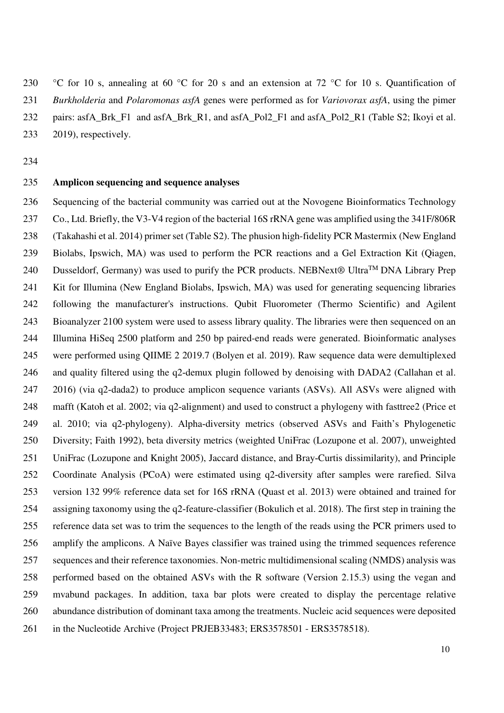230 °C for 10 s, annealing at 60 °C for 20 s and an extension at 72 °C for 10 s. Quantification of 231 *Burkholderia* and *Polaromonas asfA* genes were performed as for *Variovorax asfA*, using the pimer 232 pairs: asfA\_Brk\_F1 and asfA\_Brk\_R1, and asfA\_Pol2\_F1 and asfA\_Pol2\_R1 (Table S2; Ikoyi et al.)

- 233 2019), respectively.
- 234

### 235 **Amplicon sequencing and sequence analyses**

236 Sequencing of the bacterial community was carried out at the Novogene Bioinformatics Technology 237 Co., Ltd. Briefly, the V3-V4 region of the bacterial 16S rRNA gene was amplified using the 341F/806R 238 (Takahashi et al. 2014) primer set (Table S2). The phusion high-fidelity PCR Mastermix (New England 239 Biolabs, Ipswich, MA) was used to perform the PCR reactions and a Gel Extraction Kit (Qiagen, 240 Dusseldorf, Germany) was used to purify the PCR products. NEBNext<sup>®</sup> Ultra<sup>TM</sup> DNA Library Prep 241 Kit for Illumina (New England Biolabs, Ipswich, MA) was used for generating sequencing libraries 242 following the manufacturer's instructions. Qubit Fluorometer (Thermo Scientific) and Agilent 243 Bioanalyzer 2100 system were used to assess library quality. The libraries were then sequenced on an 244 Illumina HiSeq 2500 platform and 250 bp paired-end reads were generated. Bioinformatic analyses 245 were performed using QIIME 2 2019.7 (Bolyen et al. 2019). Raw sequence data were demultiplexed 246 and quality filtered using the q2-demux plugin followed by denoising with DADA2 (Callahan et al. 247 2016) (via q2-dada2) to produce amplicon sequence variants (ASVs). All ASVs were aligned with 248 mafft (Katoh et al. 2002; via q2-alignment) and used to construct a phylogeny with fasttree2 (Price et 249 al. 2010; via q2‐phylogeny). Alpha‐diversity metrics (observed ASVs and Faith's Phylogenetic 250 Diversity; Faith 1992), beta diversity metrics (weighted UniFrac (Lozupone et al. 2007), unweighted 251 UniFrac (Lozupone and Knight 2005), Jaccard distance, and Bray‐Curtis dissimilarity), and Principle 252 Coordinate Analysis (PCoA) were estimated using q2‐diversity after samples were rarefied. Silva 253 version 132 99% reference data set for 16S rRNA (Quast et al. 2013) were obtained and trained for 254 assigning taxonomy using the q2‐feature‐classifier (Bokulich et al. 2018). The first step in training the 255 reference data set was to trim the sequences to the length of the reads using the PCR primers used to 256 amplify the amplicons. A Naïve Bayes classifier was trained using the trimmed sequences reference 257 sequences and their reference taxonomies. Non-metric multidimensional scaling (NMDS) analysis was 258 performed based on the obtained ASVs with the R software (Version 2.15.3) using the vegan and 259 mvabund packages. In addition, taxa bar plots were created to display the percentage relative 260 abundance distribution of dominant taxa among the treatments. Nucleic acid sequences were deposited 261 in the Nucleotide Archive (Project PRJEB33483; ERS3578501 - ERS3578518).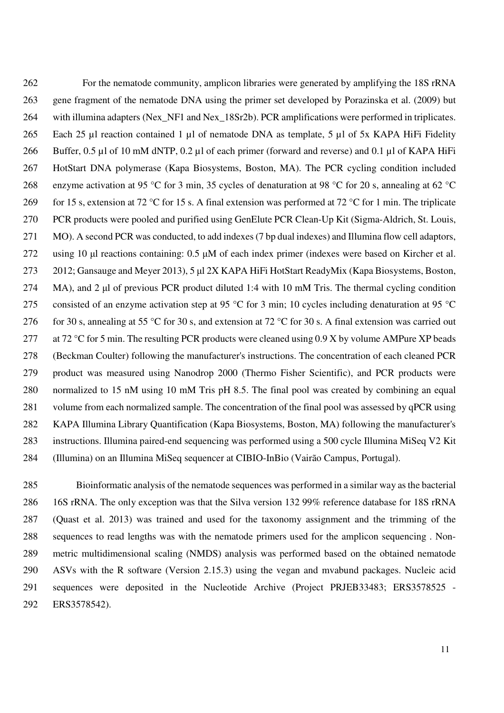262 For the nematode community, amplicon libraries were generated by amplifying the 18S rRNA 263 gene fragment of the nematode DNA using the primer set developed by Porazinska et al. (2009) but 264 with illumina adapters (Nex NF1 and Nex 18Sr2b). PCR amplifications were performed in triplicates. 265 Each 25 µl reaction contained 1 µl of nematode DNA as template, 5 µl of 5x KAPA HiFi Fidelity 266 Buffer, 0.5 µl of 10 mM dNTP, 0.2 µl of each primer (forward and reverse) and 0.1 µl of KAPA HiFi 267 HotStart DNA polymerase (Kapa Biosystems, Boston, MA). The PCR cycling condition included 268 enzyme activation at 95 °C for 3 min, 35 cycles of denaturation at 98 °C for 20 s, annealing at 62 °C 269 for 15 s, extension at 72 °C for 15 s. A final extension was performed at 72 °C for 1 min. The triplicate 270 PCR products were pooled and purified using GenElute PCR Clean-Up Kit (Sigma-Aldrich, St. Louis, 271 MO). A second PCR was conducted, to add indexes (7 bp dual indexes) and Illumina flow cell adaptors, 272 using 10 μl reactions containing: 0.5 μM of each index primer (indexes were based on Kircher et al. 273 2012; Gansauge and Meyer 2013), 5 μl 2X KAPA HiFi HotStart ReadyMix (Kapa Biosystems, Boston, 274 MA), and 2 μl of previous PCR product diluted 1:4 with 10 mM Tris. The thermal cycling condition 275 consisted of an enzyme activation step at 95  $\degree$ C for 3 min; 10 cycles including denaturation at 95  $\degree$ C 276 for 30 s, annealing at 55 °C for 30 s, and extension at 72 °C for 30 s. A final extension was carried out 277 at 72 °C for 5 min. The resulting PCR products were cleaned using  $0.9 X$  by volume AMPure XP beads 278 (Beckman Coulter) following the manufacturer's instructions. The concentration of each cleaned PCR 279 product was measured using Nanodrop 2000 (Thermo Fisher Scientific), and PCR products were 280 normalized to 15 nM using 10 mM Tris pH 8.5. The final pool was created by combining an equal 281 volume from each normalized sample. The concentration of the final pool was assessed by qPCR using 282 KAPA Illumina Library Quantification (Kapa Biosystems, Boston, MA) following the manufacturer's 283 instructions. Illumina paired-end sequencing was performed using a 500 cycle Illumina MiSeq V2 Kit 284 (Illumina) on an Illumina MiSeq sequencer at CIBIO-InBio (Vairão Campus, Portugal).

285 Bioinformatic analysis of the nematode sequences was performed in a similar way as the bacterial 286 16S rRNA. The only exception was that the Silva version 132 99% reference database for 18S rRNA 287 (Quast et al. 2013) was trained and used for the taxonomy assignment and the trimming of the 288 sequences to read lengths was with the nematode primers used for the amplicon sequencing . Non-289 metric multidimensional scaling (NMDS) analysis was performed based on the obtained nematode 290 ASVs with the R software (Version 2.15.3) using the vegan and mvabund packages. Nucleic acid 291 sequences were deposited in the Nucleotide Archive (Project PRJEB33483; ERS3578525 - 292 ERS3578542).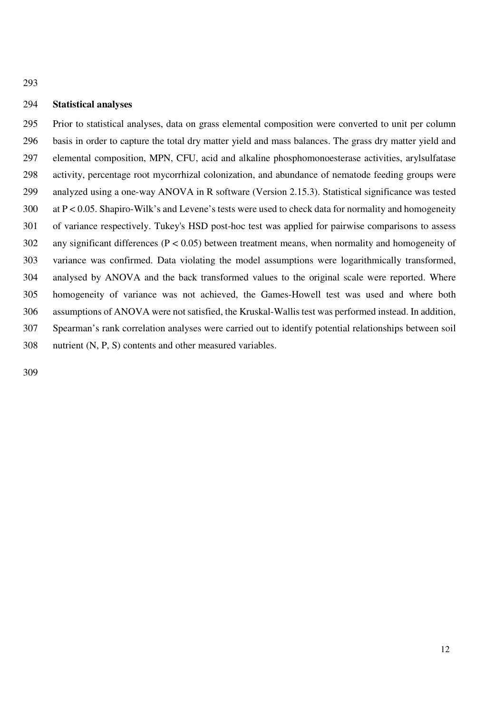#### 294 **Statistical analyses**

295 Prior to statistical analyses, data on grass elemental composition were converted to unit per column 296 basis in order to capture the total dry matter yield and mass balances. The grass dry matter yield and 297 elemental composition, MPN, CFU, acid and alkaline phosphomonoesterase activities, arylsulfatase 298 activity, percentage root mycorrhizal colonization, and abundance of nematode feeding groups were 299 analyzed using a one-way ANOVA in R software (Version 2.15.3). Statistical significance was tested 300 at P < 0.05. Shapiro-Wilk's and Levene's tests were used to check data for normality and homogeneity 301 of variance respectively. Tukey's HSD post-hoc test was applied for pairwise comparisons to assess 302 any significant differences (P < 0.05) between treatment means, when normality and homogeneity of 303 variance was confirmed. Data violating the model assumptions were logarithmically transformed, 304 analysed by ANOVA and the back transformed values to the original scale were reported. Where 305 homogeneity of variance was not achieved, the Games-Howell test was used and where both 306 assumptions of ANOVA were not satisfied, the Kruskal-Wallis test was performed instead. In addition, 307 Spearman's rank correlation analyses were carried out to identify potential relationships between soil 308 nutrient (N, P, S) contents and other measured variables.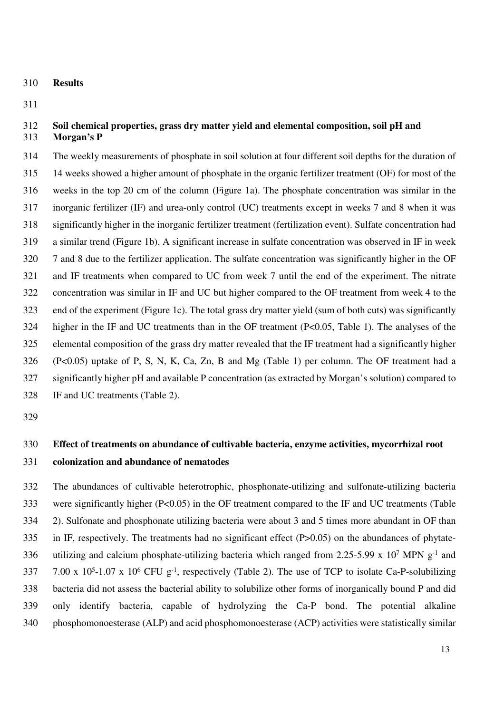#### 310 **Results**

311

## 312 **Soil chemical properties, grass dry matter yield and elemental composition, soil pH and**  313 **Morgan's P**

314 The weekly measurements of phosphate in soil solution at four different soil depths for the duration of 315 14 weeks showed a higher amount of phosphate in the organic fertilizer treatment (OF) for most of the 316 weeks in the top 20 cm of the column (Figure 1a). The phosphate concentration was similar in the 317 inorganic fertilizer (IF) and urea-only control (UC) treatments except in weeks 7 and 8 when it was 318 significantly higher in the inorganic fertilizer treatment (fertilization event). Sulfate concentration had 319 a similar trend (Figure 1b). A significant increase in sulfate concentration was observed in IF in week 320 7 and 8 due to the fertilizer application. The sulfate concentration was significantly higher in the OF 321 and IF treatments when compared to UC from week 7 until the end of the experiment. The nitrate 322 concentration was similar in IF and UC but higher compared to the OF treatment from week 4 to the 323 end of the experiment (Figure 1c). The total grass dry matter yield (sum of both cuts) was significantly 324 higher in the IF and UC treatments than in the OF treatment (P<0.05, Table 1). The analyses of the 325 elemental composition of the grass dry matter revealed that the IF treatment had a significantly higher 326 (P<0.05) uptake of P, S, N, K, Ca, Zn, B and Mg (Table 1) per column. The OF treatment had a 327 significantly higher pH and available P concentration (as extracted by Morgan's solution) compared to 328 IF and UC treatments (Table 2).

329

# 330 **Effect of treatments on abundance of cultivable bacteria, enzyme activities, mycorrhizal root**  331 **colonization and abundance of nematodes**

332 The abundances of cultivable heterotrophic, phosphonate-utilizing and sulfonate-utilizing bacteria 333 were significantly higher (P<0.05) in the OF treatment compared to the IF and UC treatments (Table 334 2). Sulfonate and phosphonate utilizing bacteria were about 3 and 5 times more abundant in OF than 335 in IF, respectively. The treatments had no significant effect (P>0.05) on the abundances of phytate-336 utilizing and calcium phosphate-utilizing bacteria which ranged from 2.25-5.99 x  $10^7$  MPN  $g^{-1}$  and 337 7.00 x  $10^5$ -1.07 x  $10^6$  CFU g<sup>-1</sup>, respectively (Table 2). The use of TCP to isolate Ca-P-solubilizing 338 bacteria did not assess the bacterial ability to solubilize other forms of inorganically bound P and did 339 only identify bacteria, capable of hydrolyzing the Ca-P bond. The potential alkaline 340 phosphomonoesterase (ALP) and acid phosphomonoesterase (ACP) activities were statistically similar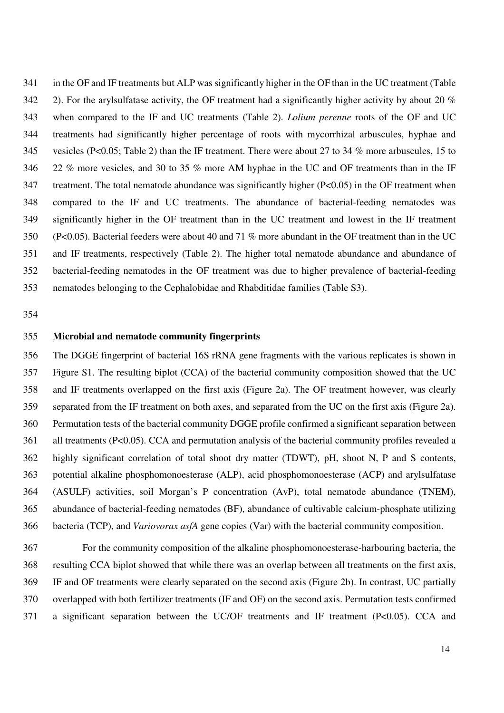341 in the OF and IF treatments but ALP was significantly higher in the OF than in the UC treatment (Table 342 2). For the arylsulfatase activity, the OF treatment had a significantly higher activity by about 20  $\%$ 343 when compared to the IF and UC treatments (Table 2). *Lolium perenne* roots of the OF and UC 344 treatments had significantly higher percentage of roots with mycorrhizal arbuscules, hyphae and 345 vesicles (P<0.05; Table 2) than the IF treatment. There were about 27 to 34 % more arbuscules, 15 to 346 22 % more vesicles, and 30 to 35 % more AM hyphae in the UC and OF treatments than in the IF 347 treatment. The total nematode abundance was significantly higher (P<0.05) in the OF treatment when 348 compared to the IF and UC treatments. The abundance of bacterial-feeding nematodes was 349 significantly higher in the OF treatment than in the UC treatment and lowest in the IF treatment 350 (P<0.05). Bacterial feeders were about 40 and 71 % more abundant in the OF treatment than in the UC 351 and IF treatments, respectively (Table 2). The higher total nematode abundance and abundance of 352 bacterial-feeding nematodes in the OF treatment was due to higher prevalence of bacterial-feeding 353 nematodes belonging to the Cephalobidae and Rhabditidae families (Table S3).

354

#### 355 **Microbial and nematode community fingerprints**

356 The DGGE fingerprint of bacterial 16S rRNA gene fragments with the various replicates is shown in 357 Figure S1. The resulting biplot (CCA) of the bacterial community composition showed that the UC 358 and IF treatments overlapped on the first axis (Figure 2a). The OF treatment however, was clearly 359 separated from the IF treatment on both axes, and separated from the UC on the first axis (Figure 2a). 360 Permutation tests of the bacterial community DGGE profile confirmed a significant separation between 361 all treatments (P<0.05). CCA and permutation analysis of the bacterial community profiles revealed a 362 highly significant correlation of total shoot dry matter (TDWT), pH, shoot N, P and S contents, 363 potential alkaline phosphomonoesterase (ALP), acid phosphomonoesterase (ACP) and arylsulfatase 364 (ASULF) activities, soil Morgan's P concentration (AvP), total nematode abundance (TNEM), 365 abundance of bacterial-feeding nematodes (BF), abundance of cultivable calcium-phosphate utilizing 366 bacteria (TCP), and *Variovorax asfA* gene copies (Var) with the bacterial community composition.

367 For the community composition of the alkaline phosphomonoesterase-harbouring bacteria, the 368 resulting CCA biplot showed that while there was an overlap between all treatments on the first axis, 369 IF and OF treatments were clearly separated on the second axis (Figure 2b). In contrast, UC partially 370 overlapped with both fertilizer treatments (IF and OF) on the second axis. Permutation tests confirmed 371 a significant separation between the UC/OF treatments and IF treatment (P<0.05). CCA and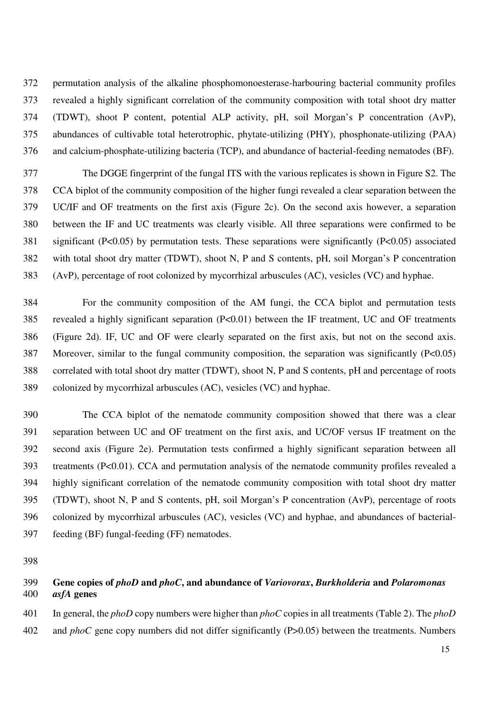372 permutation analysis of the alkaline phosphomonoesterase-harbouring bacterial community profiles 373 revealed a highly significant correlation of the community composition with total shoot dry matter 374 (TDWT), shoot P content, potential ALP activity, pH, soil Morgan's P concentration (AvP), 375 abundances of cultivable total heterotrophic, phytate-utilizing (PHY), phosphonate-utilizing (PAA) 376 and calcium-phosphate-utilizing bacteria (TCP), and abundance of bacterial-feeding nematodes (BF).

377 The DGGE fingerprint of the fungal ITS with the various replicates is shown in Figure S2. The 378 CCA biplot of the community composition of the higher fungi revealed a clear separation between the 379 UC/IF and OF treatments on the first axis (Figure 2c). On the second axis however, a separation 380 between the IF and UC treatments was clearly visible. All three separations were confirmed to be 381 significant (P<0.05) by permutation tests. These separations were significantly (P<0.05) associated 382 with total shoot dry matter (TDWT), shoot N, P and S contents, pH, soil Morgan's P concentration 383 (AvP), percentage of root colonized by mycorrhizal arbuscules (AC), vesicles (VC) and hyphae.

384 For the community composition of the AM fungi, the CCA biplot and permutation tests 385 revealed a highly significant separation (P<0.01) between the IF treatment, UC and OF treatments 386 (Figure 2d). IF, UC and OF were clearly separated on the first axis, but not on the second axis. 387 Moreover, similar to the fungal community composition, the separation was significantly (P<0.05) 388 correlated with total shoot dry matter (TDWT), shoot N, P and S contents, pH and percentage of roots 389 colonized by mycorrhizal arbuscules (AC), vesicles (VC) and hyphae.

390 The CCA biplot of the nematode community composition showed that there was a clear 391 separation between UC and OF treatment on the first axis, and UC/OF versus IF treatment on the 392 second axis (Figure 2e). Permutation tests confirmed a highly significant separation between all 393 treatments (P<0.01). CCA and permutation analysis of the nematode community profiles revealed a 394 highly significant correlation of the nematode community composition with total shoot dry matter 395 (TDWT), shoot N, P and S contents, pH, soil Morgan's P concentration (AvP), percentage of roots 396 colonized by mycorrhizal arbuscules (AC), vesicles (VC) and hyphae, and abundances of bacterial-397 feeding (BF) fungal-feeding (FF) nematodes.

398

# 399 **Gene copies of** *phoD* **and** *phoC***, and abundance of** *Variovorax***,** *Burkholderia* **and** *Polaromonas* 400 *asfA* **genes**

401 In general, the *phoD* copy numbers were higher than *phoC* copies in all treatments (Table 2). The *phoD*

402 and *phoC* gene copy numbers did not differ significantly (P>0.05) between the treatments. Numbers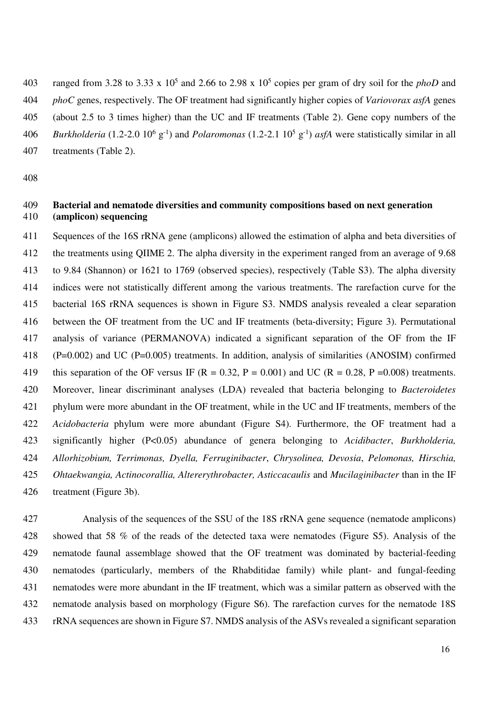403 ranged from 3.28 to 3.33 x  $10^5$  and 2.66 to 2.98 x  $10^5$  copies per gram of dry soil for the *phoD* and

- 404 *phoC* genes, respectively. The OF treatment had significantly higher copies of *Variovorax asfA* genes
- 405 (about 2.5 to 3 times higher) than the UC and IF treatments (Table 2). Gene copy numbers of the
- 406 *Burkholderia* (1.2-2.0 10<sup>6</sup> g<sup>-1</sup>) and *Polaromonas* (1.2-2.1 10<sup>5</sup> g<sup>-1</sup>) *asfA* were statistically similar in all
- 407 treatments (Table 2).
- 408

## 409 **Bacterial and nematode diversities and community compositions based on next generation**  410 **(amplicon) sequencing**

411 Sequences of the 16S rRNA gene (amplicons) allowed the estimation of alpha and beta diversities of 412 the treatments using QIIME 2. The alpha diversity in the experiment ranged from an average of 9.68 413 to 9.84 (Shannon) or 1621 to 1769 (observed species), respectively (Table S3). The alpha diversity 414 indices were not statistically different among the various treatments. The rarefaction curve for the 415 bacterial 16S rRNA sequences is shown in Figure S3. NMDS analysis revealed a clear separation 416 between the OF treatment from the UC and IF treatments (beta-diversity; Figure 3). Permutational 417 analysis of variance (PERMANOVA) indicated a significant separation of the OF from the IF 418 (P=0.002) and UC (P=0.005) treatments. In addition, analysis of similarities (ANOSIM) confirmed 419 this separation of the OF versus IF ( $R = 0.32$ ,  $P = 0.001$ ) and UC ( $R = 0.28$ , P = 0.008) treatments. 420 Moreover, linear discriminant analyses (LDA) revealed that bacteria belonging to *Bacteroidetes* 421 phylum were more abundant in the OF treatment, while in the UC and IF treatments, members of the 422 *Acidobacteria* phylum were more abundant (Figure S4). Furthermore, the OF treatment had a 423 significantly higher (P<0.05) abundance of genera belonging to *Acidibacter*, *Burkholderia,*  424 *Allorhizobium, Terrimonas, Dyella, Ferruginibacter*, *Chrysolinea, Devosia*, *Pelomonas, Hirschia,*  425 *Ohtaekwangia, Actinocorallia, Altererythrobacter, Asticcacaulis* and *Mucilaginibacter* than in the IF 426 treatment (Figure 3b).

427 Analysis of the sequences of the SSU of the 18S rRNA gene sequence (nematode amplicons) 428 showed that 58 % of the reads of the detected taxa were nematodes (Figure S5). Analysis of the 429 nematode faunal assemblage showed that the OF treatment was dominated by bacterial-feeding 430 nematodes (particularly, members of the Rhabditidae family) while plant- and fungal-feeding 431 nematodes were more abundant in the IF treatment, which was a similar pattern as observed with the 432 nematode analysis based on morphology (Figure S6). The rarefaction curves for the nematode 18S 433 rRNA sequences are shown in Figure S7. NMDS analysis of the ASVs revealed a significant separation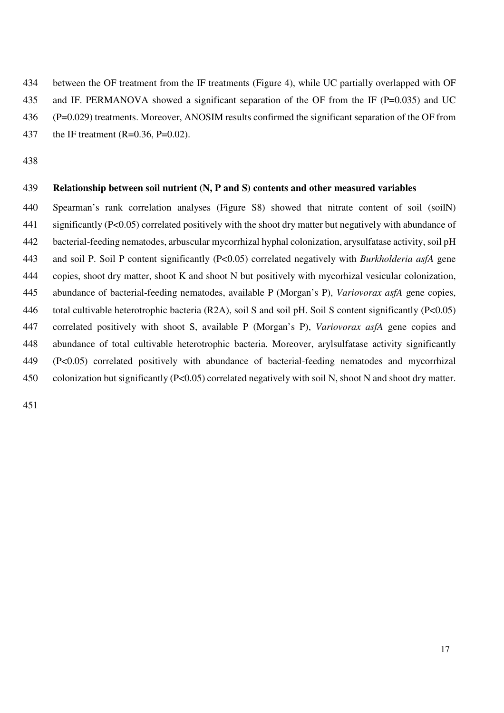434 between the OF treatment from the IF treatments (Figure 4), while UC partially overlapped with OF

- 435 and IF. PERMANOVA showed a significant separation of the OF from the IF (P=0.035) and UC
- 436 (P=0.029) treatments. Moreover, ANOSIM results confirmed the significant separation of the OF from
- 437 the IF treatment (R=0.36, P=0.02).
- 438

#### 439 **Relationship between soil nutrient (N, P and S) contents and other measured variables**

440 Spearman's rank correlation analyses (Figure S8) showed that nitrate content of soil (soilN) 441 significantly (P<0.05) correlated positively with the shoot dry matter but negatively with abundance of 442 bacterial-feeding nematodes, arbuscular mycorrhizal hyphal colonization, arysulfatase activity, soil pH 443 and soil P. Soil P content significantly (P<0.05) correlated negatively with *Burkholderia asfA* gene 444 copies, shoot dry matter, shoot K and shoot N but positively with mycorhizal vesicular colonization, 445 abundance of bacterial-feeding nematodes, available P (Morgan's P), *Variovorax asfA* gene copies, 446 total cultivable heterotrophic bacteria (R2A), soil S and soil pH. Soil S content significantly (P<0.05) 447 correlated positively with shoot S, available P (Morgan's P), *Variovorax asfA* gene copies and 448 abundance of total cultivable heterotrophic bacteria. Moreover, arylsulfatase activity significantly 449 (P<0.05) correlated positively with abundance of bacterial-feeding nematodes and mycorrhizal 450 colonization but significantly (P<0.05) correlated negatively with soil N, shoot N and shoot dry matter.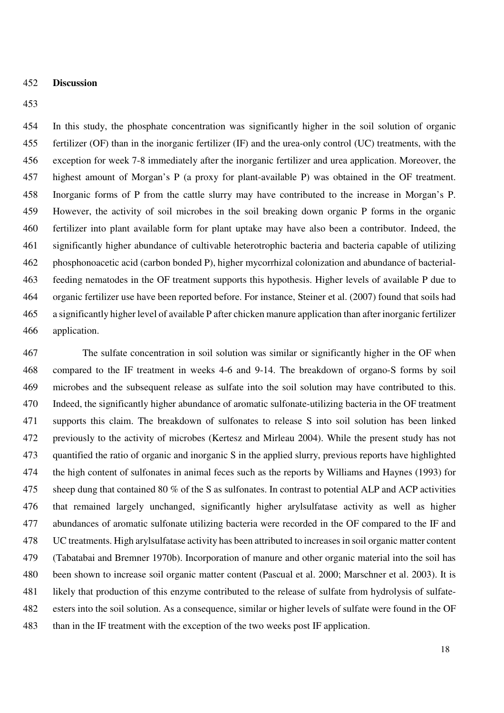#### 452 **Discussion**

453

454 In this study, the phosphate concentration was significantly higher in the soil solution of organic 455 fertilizer (OF) than in the inorganic fertilizer (IF) and the urea-only control (UC) treatments, with the 456 exception for week 7-8 immediately after the inorganic fertilizer and urea application. Moreover, the 457 highest amount of Morgan's P (a proxy for plant-available P) was obtained in the OF treatment. 458 Inorganic forms of P from the cattle slurry may have contributed to the increase in Morgan's P. 459 However, the activity of soil microbes in the soil breaking down organic P forms in the organic 460 fertilizer into plant available form for plant uptake may have also been a contributor. Indeed, the 461 significantly higher abundance of cultivable heterotrophic bacteria and bacteria capable of utilizing 462 phosphonoacetic acid (carbon bonded P), higher mycorrhizal colonization and abundance of bacterial-463 feeding nematodes in the OF treatment supports this hypothesis. Higher levels of available P due to 464 organic fertilizer use have been reported before. For instance, Steiner et al. (2007) found that soils had 465 a significantly higher level of available P after chicken manure application than after inorganic fertilizer 466 application.

467 The sulfate concentration in soil solution was similar or significantly higher in the OF when 468 compared to the IF treatment in weeks 4-6 and 9-14. The breakdown of organo-S forms by soil 469 microbes and the subsequent release as sulfate into the soil solution may have contributed to this. 470 Indeed, the significantly higher abundance of aromatic sulfonate-utilizing bacteria in the OF treatment 471 supports this claim. The breakdown of sulfonates to release S into soil solution has been linked 472 previously to the activity of microbes (Kertesz and Mirleau 2004). While the present study has not 473 quantified the ratio of organic and inorganic S in the applied slurry, previous reports have highlighted 474 the high content of sulfonates in animal feces such as the reports by Williams and Haynes (1993) for 475 sheep dung that contained 80 % of the S as sulfonates. In contrast to potential ALP and ACP activities 476 that remained largely unchanged, significantly higher arylsulfatase activity as well as higher 477 abundances of aromatic sulfonate utilizing bacteria were recorded in the OF compared to the IF and 478 UC treatments. High arylsulfatase activity has been attributed to increases in soil organic matter content 479 (Tabatabai and Bremner 1970b). Incorporation of manure and other organic material into the soil has 480 been shown to increase soil organic matter content (Pascual et al. 2000; Marschner et al. 2003). It is 481 likely that production of this enzyme contributed to the release of sulfate from hydrolysis of sulfate-482 esters into the soil solution. As a consequence, similar or higher levels of sulfate were found in the OF 483 than in the IF treatment with the exception of the two weeks post IF application.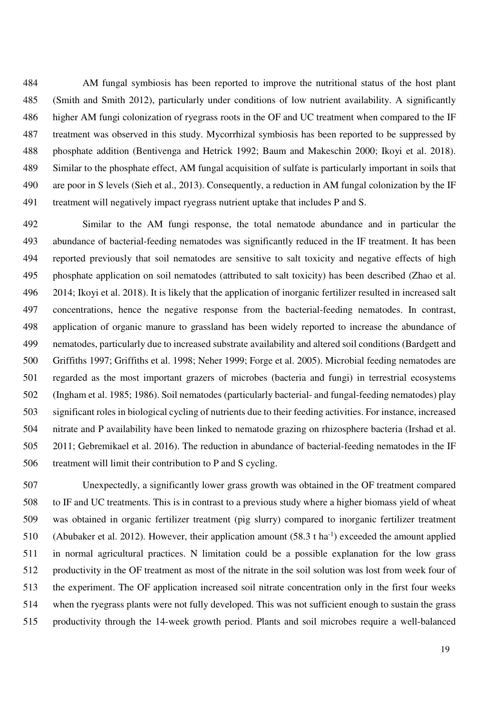484 AM fungal symbiosis has been reported to improve the nutritional status of the host plant 485 (Smith and Smith 2012), particularly under conditions of low nutrient availability. A significantly 486 higher AM fungi colonization of ryegrass roots in the OF and UC treatment when compared to the IF 487 treatment was observed in this study. Mycorrhizal symbiosis has been reported to be suppressed by 488 phosphate addition (Bentivenga and Hetrick 1992; Baum and Makeschin 2000; Ikoyi et al. 2018). 489 Similar to the phosphate effect, AM fungal acquisition of sulfate is particularly important in soils that 490 are poor in S levels (Sieh et al., 2013). Consequently, a reduction in AM fungal colonization by the IF 491 treatment will negatively impact ryegrass nutrient uptake that includes P and S.

492 Similar to the AM fungi response, the total nematode abundance and in particular the 493 abundance of bacterial-feeding nematodes was significantly reduced in the IF treatment. It has been 494 reported previously that soil nematodes are sensitive to salt toxicity and negative effects of high 495 phosphate application on soil nematodes (attributed to salt toxicity) has been described (Zhao et al. 496 2014; Ikoyi et al. 2018). It is likely that the application of inorganic fertilizer resulted in increased salt 497 concentrations, hence the negative response from the bacterial-feeding nematodes. In contrast, 498 application of organic manure to grassland has been widely reported to increase the abundance of 499 nematodes, particularly due to increased substrate availability and altered soil conditions (Bardgett and 500 Griffiths 1997; Griffiths et al. 1998; Neher 1999; Forge et al. 2005). Microbial feeding nematodes are 501 regarded as the most important grazers of microbes (bacteria and fungi) in terrestrial ecosystems 502 (Ingham et al. 1985; 1986). Soil nematodes (particularly bacterial- and fungal-feeding nematodes) play 503 significant roles in biological cycling of nutrients due to their feeding activities. For instance, increased 504 nitrate and P availability have been linked to nematode grazing on rhizosphere bacteria (Irshad et al. 505 2011; Gebremikael et al. 2016). The reduction in abundance of bacterial-feeding nematodes in the IF 506 treatment will limit their contribution to P and S cycling.

507 Unexpectedly, a significantly lower grass growth was obtained in the OF treatment compared 508 to IF and UC treatments. This is in contrast to a previous study where a higher biomass yield of wheat 509 was obtained in organic fertilizer treatment (pig slurry) compared to inorganic fertilizer treatment 510 (Abubaker et al. 2012). However, their application amount  $(58.3 \text{ tha}^{-1})$  exceeded the amount applied 511 in normal agricultural practices. N limitation could be a possible explanation for the low grass 512 productivity in the OF treatment as most of the nitrate in the soil solution was lost from week four of 513 the experiment. The OF application increased soil nitrate concentration only in the first four weeks 514 when the ryegrass plants were not fully developed. This was not sufficient enough to sustain the grass 515 productivity through the 14-week growth period. Plants and soil microbes require a well-balanced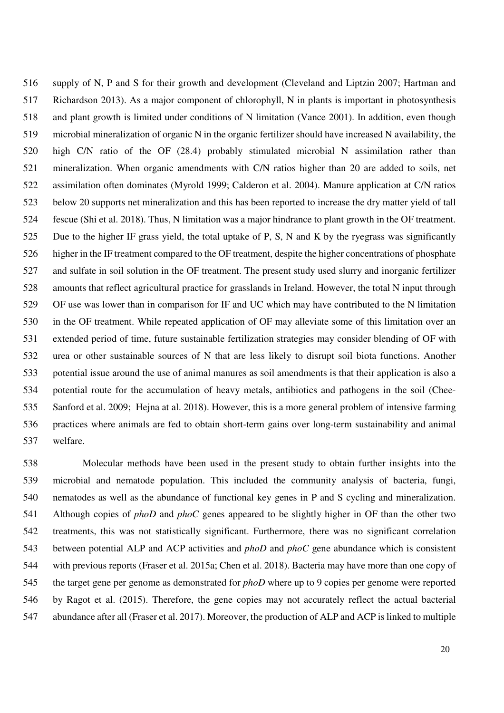516 supply of N, P and S for their growth and development (Cleveland and Liptzin 2007; Hartman and 517 Richardson 2013). As a major component of chlorophyll, N in plants is important in photosynthesis 518 and plant growth is limited under conditions of N limitation (Vance 2001). In addition, even though 519 microbial mineralization of organic N in the organic fertilizer should have increased N availability, the 520 high C/N ratio of the OF (28.4) probably stimulated microbial N assimilation rather than 521 mineralization. When organic amendments with C/N ratios higher than 20 are added to soils, net 522 assimilation often dominates (Myrold 1999; Calderon et al. 2004). Manure application at C/N ratios 523 below 20 supports net mineralization and this has been reported to increase the dry matter yield of tall 524 fescue (Shi et al. 2018). Thus, N limitation was a major hindrance to plant growth in the OF treatment. 525 Due to the higher IF grass yield, the total uptake of P, S, N and K by the ryegrass was significantly 526 higher in the IF treatment compared to the OF treatment, despite the higher concentrations of phosphate 527 and sulfate in soil solution in the OF treatment. The present study used slurry and inorganic fertilizer 528 amounts that reflect agricultural practice for grasslands in Ireland. However, the total N input through 529 OF use was lower than in comparison for IF and UC which may have contributed to the N limitation 530 in the OF treatment. While repeated application of OF may alleviate some of this limitation over an 531 extended period of time, future sustainable fertilization strategies may consider blending of OF with 532 urea or other sustainable sources of N that are less likely to disrupt soil biota functions. Another 533 potential issue around the use of animal manures as soil amendments is that their application is also a 534 potential route for the accumulation of heavy metals, antibiotics and pathogens in the soil (Chee-535 Sanford et al. 2009; Hejna at al. 2018). However, this is a more general problem of intensive farming 536 practices where animals are fed to obtain short-term gains over long-term sustainability and animal 537 welfare.

538 Molecular methods have been used in the present study to obtain further insights into the 539 microbial and nematode population. This included the community analysis of bacteria, fungi, 540 nematodes as well as the abundance of functional key genes in P and S cycling and mineralization. 541 Although copies of *phoD* and *phoC* genes appeared to be slightly higher in OF than the other two 542 treatments, this was not statistically significant. Furthermore, there was no significant correlation 543 between potential ALP and ACP activities and *phoD* and *phoC* gene abundance which is consistent 544 with previous reports (Fraser et al. 2015a; Chen et al. 2018). Bacteria may have more than one copy of 545 the target gene per genome as demonstrated for *phoD* where up to 9 copies per genome were reported 546 by Ragot et al. (2015). Therefore, the gene copies may not accurately reflect the actual bacterial 547 abundance after all (Fraser et al. 2017). Moreover, the production of ALP and ACP is linked to multiple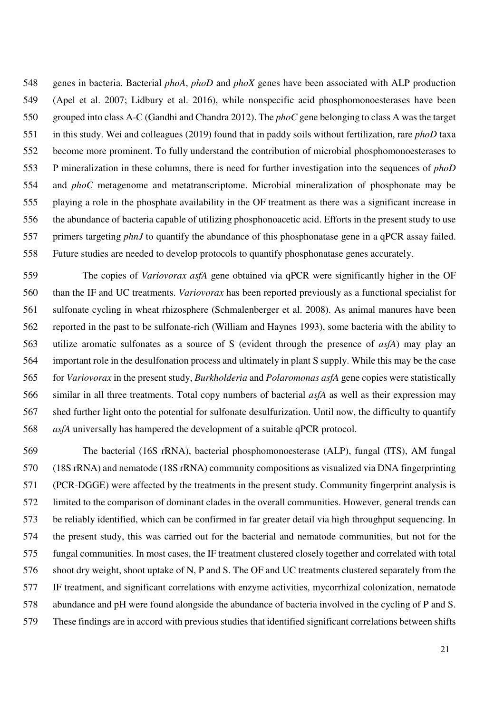548 genes in bacteria. Bacterial *phoA*, *phoD* and *phoX* genes have been associated with ALP production 549 (Apel et al. 2007; Lidbury et al. 2016), while nonspecific acid phosphomonoesterases have been 550 grouped into class A-C (Gandhi and Chandra 2012). The *phoC* gene belonging to class A was the target 551 in this study. Wei and colleagues (2019) found that in paddy soils without fertilization, rare *phoD* taxa 552 become more prominent. To fully understand the contribution of microbial phosphomonoesterases to 553 P mineralization in these columns, there is need for further investigation into the sequences of *phoD* 554 and *phoC* metagenome and metatranscriptome. Microbial mineralization of phosphonate may be 555 playing a role in the phosphate availability in the OF treatment as there was a significant increase in 556 the abundance of bacteria capable of utilizing phosphonoacetic acid. Efforts in the present study to use 557 primers targeting *phnJ* to quantify the abundance of this phosphonatase gene in a qPCR assay failed. 558 Future studies are needed to develop protocols to quantify phosphonatase genes accurately.

559 The copies of *Variovorax asfA* gene obtained via qPCR were significantly higher in the OF 560 than the IF and UC treatments. *Variovorax* has been reported previously as a functional specialist for 561 sulfonate cycling in wheat rhizosphere (Schmalenberger et al. 2008). As animal manures have been 562 reported in the past to be sulfonate-rich (William and Haynes 1993), some bacteria with the ability to 563 utilize aromatic sulfonates as a source of S (evident through the presence of *asfA*) may play an 564 important role in the desulfonation process and ultimately in plant S supply. While this may be the case 565 for *Variovorax* in the present study, *Burkholderia* and *Polaromonas asfA* gene copies were statistically 566 similar in all three treatments. Total copy numbers of bacterial *asfA* as well as their expression may 567 shed further light onto the potential for sulfonate desulfurization. Until now, the difficulty to quantify 568 *asfA* universally has hampered the development of a suitable qPCR protocol.

569 The bacterial (16S rRNA), bacterial phosphomonoesterase (ALP), fungal (ITS), AM fungal 570 (18S rRNA) and nematode (18S rRNA) community compositions as visualized via DNA fingerprinting 571 (PCR-DGGE) were affected by the treatments in the present study. Community fingerprint analysis is 572 limited to the comparison of dominant clades in the overall communities. However, general trends can 573 be reliably identified, which can be confirmed in far greater detail via high throughput sequencing. In 574 the present study, this was carried out for the bacterial and nematode communities, but not for the 575 fungal communities. In most cases, the IF treatment clustered closely together and correlated with total 576 shoot dry weight, shoot uptake of N, P and S. The OF and UC treatments clustered separately from the 577 IF treatment, and significant correlations with enzyme activities, mycorrhizal colonization, nematode 578 abundance and pH were found alongside the abundance of bacteria involved in the cycling of P and S. 579 These findings are in accord with previous studies that identified significant correlations between shifts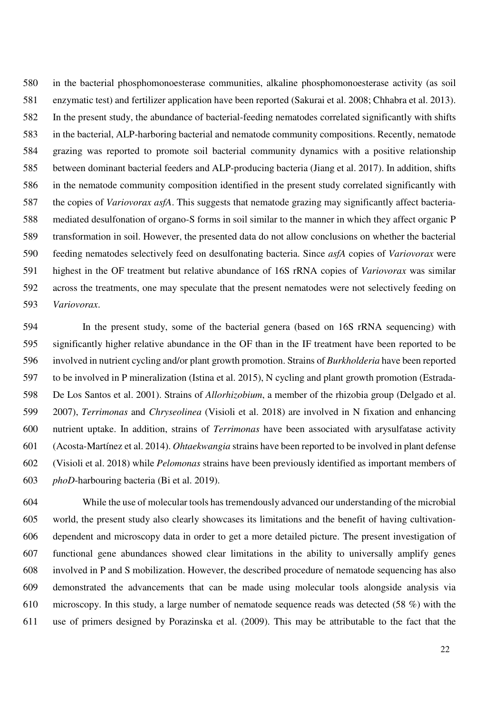580 in the bacterial phosphomonoesterase communities, alkaline phosphomonoesterase activity (as soil 581 enzymatic test) and fertilizer application have been reported (Sakurai et al. 2008; Chhabra et al. 2013). 582 In the present study, the abundance of bacterial-feeding nematodes correlated significantly with shifts 583 in the bacterial, ALP-harboring bacterial and nematode community compositions. Recently, nematode 584 grazing was reported to promote soil bacterial community dynamics with a positive relationship 585 between dominant bacterial feeders and ALP-producing bacteria (Jiang et al. 2017). In addition, shifts 586 in the nematode community composition identified in the present study correlated significantly with 587 the copies of *Variovorax asfA*. This suggests that nematode grazing may significantly affect bacteria-588 mediated desulfonation of organo-S forms in soil similar to the manner in which they affect organic P 589 transformation in soil. However, the presented data do not allow conclusions on whether the bacterial 590 feeding nematodes selectively feed on desulfonating bacteria. Since *asfA* copies of *Variovorax* were 591 highest in the OF treatment but relative abundance of 16S rRNA copies of *Variovorax* was similar 592 across the treatments, one may speculate that the present nematodes were not selectively feeding on 593 *Variovorax*.

594 In the present study, some of the bacterial genera (based on 16S rRNA sequencing) with 595 significantly higher relative abundance in the OF than in the IF treatment have been reported to be 596 involved in nutrient cycling and/or plant growth promotion. Strains of *Burkholderia* have been reported 597 to be involved in P mineralization (Istina et al. 2015), N cycling and plant growth promotion (Estrada-598 De Los Santos et al. 2001). Strains of *Allorhizobium*, a member of the rhizobia group (Delgado et al. 599 2007), *Terrimonas* and *Chryseolinea* (Visioli et al. 2018) are involved in N fixation and enhancing 600 nutrient uptake. In addition, strains of *Terrimonas* have been associated with arysulfatase activity 601 (Acosta-Martínez et al. 2014). *Ohtaekwangia* strains have been reported to be involved in plant defense 602 (Visioli et al. 2018) while *Pelomonas* strains have been previously identified as important members of 603 *phoD*-harbouring bacteria (Bi et al. 2019).

604 While the use of molecular tools has tremendously advanced our understanding of the microbial 605 world, the present study also clearly showcases its limitations and the benefit of having cultivation-606 dependent and microscopy data in order to get a more detailed picture. The present investigation of 607 functional gene abundances showed clear limitations in the ability to universally amplify genes 608 involved in P and S mobilization. However, the described procedure of nematode sequencing has also 609 demonstrated the advancements that can be made using molecular tools alongside analysis via 610 microscopy. In this study, a large number of nematode sequence reads was detected (58 %) with the 611 use of primers designed by Porazinska et al. (2009). This may be attributable to the fact that the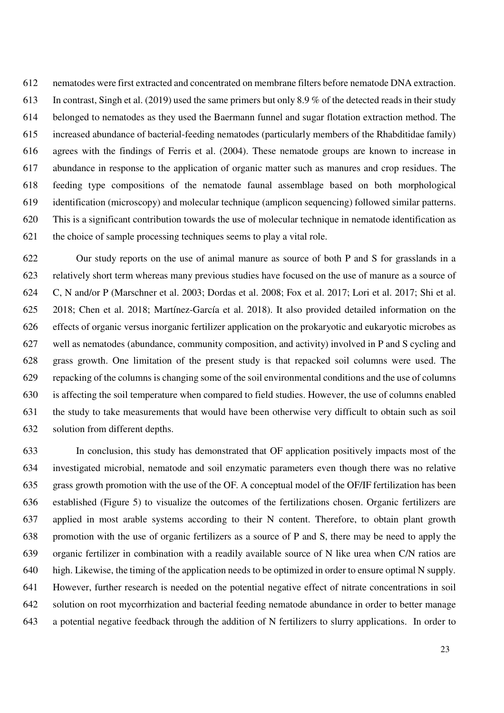612 nematodes were first extracted and concentrated on membrane filters before nematode DNA extraction. 613 In contrast, Singh et al. (2019) used the same primers but only 8.9 % of the detected reads in their study 614 belonged to nematodes as they used the Baermann funnel and sugar flotation extraction method. The 615 increased abundance of bacterial-feeding nematodes (particularly members of the Rhabditidae family) 616 agrees with the findings of Ferris et al. (2004). These nematode groups are known to increase in 617 abundance in response to the application of organic matter such as manures and crop residues. The 618 feeding type compositions of the nematode faunal assemblage based on both morphological 619 identification (microscopy) and molecular technique (amplicon sequencing) followed similar patterns. 620 This is a significant contribution towards the use of molecular technique in nematode identification as 621 the choice of sample processing techniques seems to play a vital role.

622 Our study reports on the use of animal manure as source of both P and S for grasslands in a 623 relatively short term whereas many previous studies have focused on the use of manure as a source of 624 C, N and/or P (Marschner et al. 2003; Dordas et al. 2008; Fox et al. 2017; Lori et al. 2017; Shi et al. 625 2018; Chen et al. 2018; Martínez-García et al. 2018). It also provided detailed information on the 626 effects of organic versus inorganic fertilizer application on the prokaryotic and eukaryotic microbes as 627 well as nematodes (abundance, community composition, and activity) involved in P and S cycling and 628 grass growth. One limitation of the present study is that repacked soil columns were used. The 629 repacking of the columns is changing some of the soil environmental conditions and the use of columns 630 is affecting the soil temperature when compared to field studies. However, the use of columns enabled 631 the study to take measurements that would have been otherwise very difficult to obtain such as soil 632 solution from different depths.

633 In conclusion, this study has demonstrated that OF application positively impacts most of the 634 investigated microbial, nematode and soil enzymatic parameters even though there was no relative 635 grass growth promotion with the use of the OF. A conceptual model of the OF/IF fertilization has been 636 established (Figure 5) to visualize the outcomes of the fertilizations chosen. Organic fertilizers are 637 applied in most arable systems according to their N content. Therefore, to obtain plant growth 638 promotion with the use of organic fertilizers as a source of P and S, there may be need to apply the 639 organic fertilizer in combination with a readily available source of N like urea when C/N ratios are 640 high. Likewise, the timing of the application needs to be optimized in order to ensure optimal N supply. 641 However, further research is needed on the potential negative effect of nitrate concentrations in soil 642 solution on root mycorrhization and bacterial feeding nematode abundance in order to better manage 643 a potential negative feedback through the addition of N fertilizers to slurry applications. In order to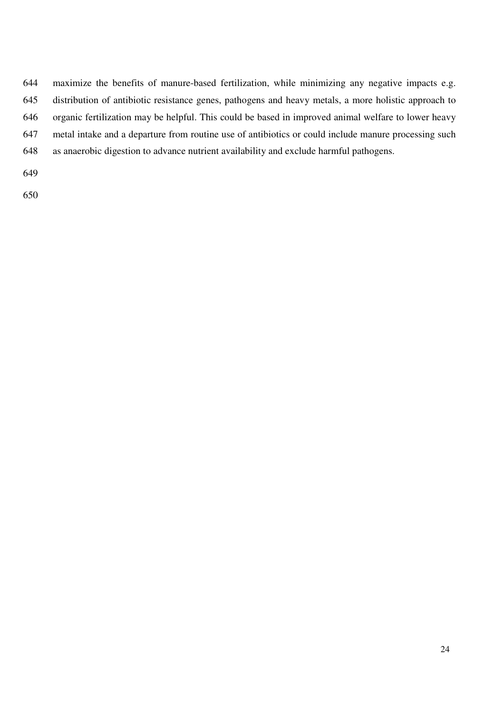644 maximize the benefits of manure-based fertilization, while minimizing any negative impacts e.g. 645 distribution of antibiotic resistance genes, pathogens and heavy metals, a more holistic approach to 646 organic fertilization may be helpful. This could be based in improved animal welfare to lower heavy 647 metal intake and a departure from routine use of antibiotics or could include manure processing such 648 as anaerobic digestion to advance nutrient availability and exclude harmful pathogens.

649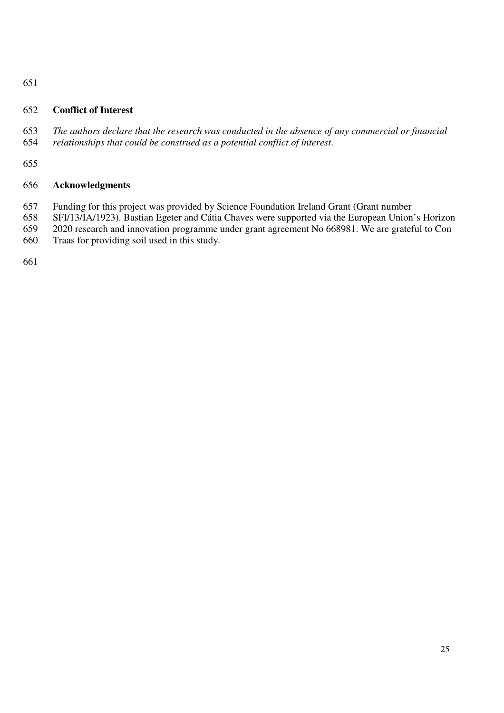# **Conflict of Interest**

- *The authors declare that the research was conducted in the absence of any commercial or financial*
- *relationships that could be construed as a potential conflict of interest*.
- 

# **Acknowledgments**

- 657 Funding for this project was provided by Science Foundation Ireland Grant (Grant number
- 658 SFI/13/IA/1923). Bastian Egeter and Cátia Chaves were supported via the European Union's Horizon
- 659 2020 research and innovation programme under grant agreement No 668981. We are grateful to Con
- 660 Traas for providing soil used in this study.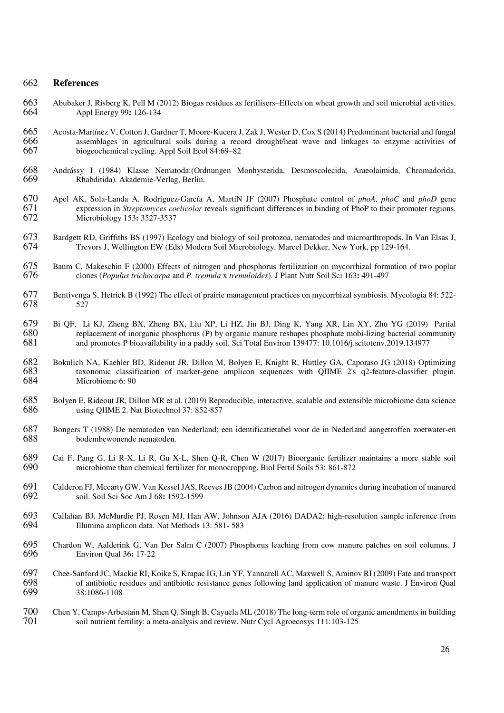#### **References**

- Abubaker J, Risberg K, Pell M (2012) Biogas residues as fertilisers–Effects on wheat growth and soil microbial activities. Appl Energy 99**:** 126-134
- Acosta-Martínez V, Cotton J, Gardner T, Moore-Kucera J, Zak J, Wester D, Cox S (2014) Predominant bacterial and fungal assemblages in agricultural soils during a record drought/heat wave and linkages to enzyme activities of biogeochemical cycling. Appl Soil Ecol 84:69-82
- Andrássy I (1984) Klasse Nematoda:(Ordnungen Monhysterida, Desmoscolecida, Araeolaimida, Chromadorida, Rhabditida)*.* Akademie-Verlag, Berlin.
- Apel AK, Sola-Landa A, Rodríguez-García A, MartíN JF (2007) Phosphate control of *phoA*, *phoC* and *phoD* gene expression in *Streptomyces coelicolor* reveals significant differences in binding of PhoP to their promoter regions. Microbiology 153**:** 3527-3537
- 673 Bardgett RD, Griffiths BS (1997) Ecology and biology of soil protozoa, nematodes and microarthropods. In Van Elsas J, 674 Trevors J. Wellington EW (Eds) Modern Soil Microbiology. Marcel Dekker, New York, pp 129-164. Trevors J, Wellington EW (Eds) Modern Soil Microbiology. Marcel Dekker, New York, pp 129-164.
- 675 Baum C, Makeschin F (2000) Effects of nitrogen and phosphorus fertilization on mycorrhizal formation of two poplar<br>676 clones (*Populus trichocarpa* and *P. tremula x tremuloides*). J Plant Nutr Soil Sci 163: 491-497 clones (*Populus trichocarpa* and *P. tremula* x *tremuloides*). J Plant Nutr Soil Sci 163**:** 491-497
- Bentivenga S, Hetrick B (1992) The effect of prairie management practices on mycorrhizal symbiosis. Mycologia 84: 522-
- Bi QF, Li KJ, Zheng BX, Zheng BX, Liu XP, Li HZ, Jin BJ, Ding K, Yang XR, Lin XY, Zhu YG (2019) Partial 680 replacement of inorganic phosphorus (P) by organic manure reshapes phosphate mobi-lizing bacterial community<br>681 and promotes P bioavailability in a paddy soil. Sci Total Environ 139477: 10.1016/i.scitoteny.2019.134977 and promotes P bioavailability in a paddy soil. Sci Total Environ 139477: 10.1016/j.scitotenv.2019.134977
- Bokulich NA, Kaehler BD, Rideout JR, Dillon M, Bolyen E, Knight R, Huttley GA, Caporaso JG (2018) Optimizing 683 taxonomic classification of marker-gene amplicon sequences with QIIME 2's q2-feature-classifier plugin.<br>684 Microbiome 6:90 Microbiome 6: 90
- 685 Bolyen E, Rideout JR, Dillon MR et al. (2019) Reproducible, interactive, scalable and extensible microbiome data science<br>686 using OIIME 2. Nat Biotechnol 37: 852-857 using QIIME 2. Nat Biotechnol 37: 852-857
- Bongers T (1988) De nematoden van Nederland; een identificatietabel voor de in Nederland aangetroffen zoetwater-en bodembewonende nematoden*.*
- Cai F, Pang G, Li R-X, Li R, Gu X-L, Shen Q-R, Chen W (2017) Bioorganic fertilizer maintains a more stable soil microbiome than chemical fertilizer for monocropping. Biol Fertil Soils 53: 861-872
- 691 Calderon FJ, Mccarty GW, Van Kessel JAS, Reeves JB (2004) Carbon and nitrogen dynamics during incubation of manured<br>692 soil. Soil Sci Soc Am J 68: 1592-1599 soil. Soil Sci Soc Am J 68**:** 1592-1599
- 693 Callahan BJ, McMurdie PJ, Rosen MJ, Han AW, Johnson AJA (2016) DADA2: high-resolution sample inference from<br>694 Illumina amplicon data. Nat Methods 13: 581-583 Illumina amplicon data. Nat Methods 13: 581‐ 583
- Chardon W, Aalderink G, Van Der Salm C (2007) Phosphorus leaching from cow manure patches on soil columns. J Environ Qual 36**:** 17-22
- 697 Chee-Sanford JC, Mackie RI, Koike S, Krapac IG, Lin YF, Yannarell AC, Maxwell S, Aminov RI (2009) Fate and transport of antibiotic residues and antibiotic resistance genes following land application of manure waste. J of antibiotic residues and antibiotic resistance genes following land application of manure waste. J Environ Qual 38:1086-1108
- 700 Chen Y, Camps-Arbestain M, Shen Q, Singh B, Cayuela ML (2018) The long-term role of organic amendments in building<br>701 soil nutrient fertility: a meta-analysis and review. Nutr Cycl Agroecosy 111:103-125 soil nutrient fertility: a meta-analysis and review. Nutr Cycl Agroecosys 111:103-125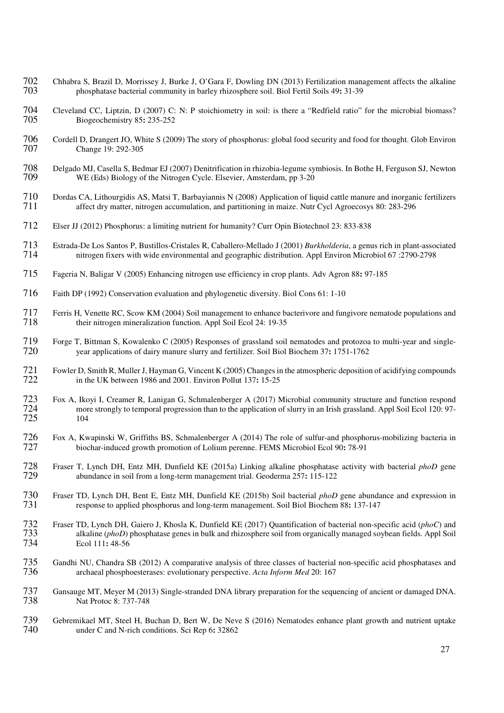- Chhabra S, Brazil D, Morrissey J, Burke J, O'Gara F, Dowling DN (2013) Fertilization management affects the alkaline phosphatase bacterial community in barley rhizosphere soil. Biol Fertil Soils 49**:** 31-39
- 704 Cleveland CC, Liptzin, D (2007) C: N: P stoichiometry in soil: is there a "Redfield ratio" for the microbial biomass?<br>705 Biogeochemistry 85: 235-252 Biogeochemistry 85**:** 235-252
- 706 Cordell D, Drangert JO, White S (2009) The story of phosphorus: global food security and food for thought. Glob Environ<br>707 Change 19: 292-305 Change 19: 292-305
- Delgado MJ, Casella S, Bedmar EJ (2007) Denitrification in rhizobia-legume symbiosis. In Bothe H, Ferguson SJ, Newton WE (Eds) Biology of the Nitrogen Cycle. Elsevier, Amsterdam, pp 3-20
- 710 Dordas CA, Lithourgidis AS, Matsi T, Barbayiannis N (2008) Application of liquid cattle manure and inorganic fertilizers affect dry matter, nitrogen accumulation, and partitioning in maize. Nutr Cycl Agroecosys 80: 283 affect dry matter, nitrogen accumulation, and partitioning in maize. Nutr Cycl Agroecosys 80: 283-296
- Elser JJ (2012) Phosphorus: a limiting nutrient for humanity? Curr Opin Biotechnol 23: 833-838
- Estrada-De Los Santos P, Bustillos-Cristales R, Caballero-Mellado J (2001) *Burkholderia*, a genus rich in plant-associated nitrogen fixers with wide environmental and geographic distribution. Appl Environ Microbiol 67 :2790-2798
- Fageria N, Baligar V (2005) Enhancing nitrogen use efficiency in crop plants. Adv Agron 88**:** 97-185
- Faith DP (1992) Conservation evaluation and phylogenetic diversity. Biol Cons 61: 1-10
- 717 Ferris H, Venette RC, Scow KM (2004) Soil management to enhance bacterivore and fungivore nematode populations and<br>718 feir nitrogen mineralization function. Appl Soil Ecol 24: 19-35 their nitrogen mineralization function. Appl Soil Ecol 24: 19-35
- Forge T, Bittman S, Kowalenko C (2005) Responses of grassland soil nematodes and protozoa to multi-year and single-year applications of dairy manure slurry and fertilizer. Soil Biol Biochem 37**:** 1751-1762
- Fowler D, Smith R, Muller J, Hayman G, Vincent K (2005) Changes in the atmospheric deposition of acidifying compounds in the UK between 1986 and 2001. Environ Pollut 137**:** 15-25
- Fox A, Ikoyi I, Creamer R, Lanigan G, Schmalenberger A (2017) Microbial community structure and function respond more strongly to temporal progression than to the application of slurry in an Irish grassland. Appl Soil Ecol 120: 97-  $\frac{723}{725}$  104 H, he<br>  $\frac{724}{725}$  104
- 726 Fox A, Kwapinski W, Griffiths BS, Schmalenberger A (2014) The role of sulfur-and phosphorus-mobilizing bacteria in<br>727 biochar-induced growth promotion of Lolium perenne. FEMS Microbiol Ecol 90: 78-91 biochar-induced growth promotion of Lolium perenne. FEMS Microbiol Ecol 90**:** 78-91
- Fraser T, Lynch DH, Entz MH, Dunfield KE (2015a) Linking alkaline phosphatase activity with bacterial *phoD* gene abundance in soil from a long-term management trial. Geoderma 257**:** 115-122
- 730 Fraser TD, Lynch DH, Bent E, Entz MH, Dunfield KE (2015b) Soil bacterial *phoD* gene abundance and expression in response to applied phosphorus and long-term management. Soil Biol Biochem 88: 137-147 response to applied phosphorus and long-term management. Soil Biol Biochem 88**:** 137-147
- Fraser TD, Lynch DH, Gaiero J, Khosla K, Dunfield KE (2017) Quantification of bacterial non-specific acid (*phoC*) and alkaline (*phoD*) phosphatase genes in bulk and rhizosphere soil from organically managed soybean fields. Appl Soil Ecol 111**:** 48-56
- 735 Gandhi NU, Chandra SB (2012) A comparative analysis of three classes of bacterial non-specific acid phosphatases and archaeal phosphoesterases: evolutionary perspective. Acta Inform Med 20: 167 archaeal phosphoesterases: evolutionary perspective. *Acta Inform Med* 20: 167
- Gansauge MT, Meyer M (2013) Single-stranded DNA library preparation for the sequencing of ancient or damaged DNA. Nat Protoc 8: 737-748
- Gebremikael MT, Steel H, Buchan D, Bert W, De Neve S (2016) Nematodes enhance plant growth and nutrient uptake under C and N-rich conditions. Sci Rep 6: 32862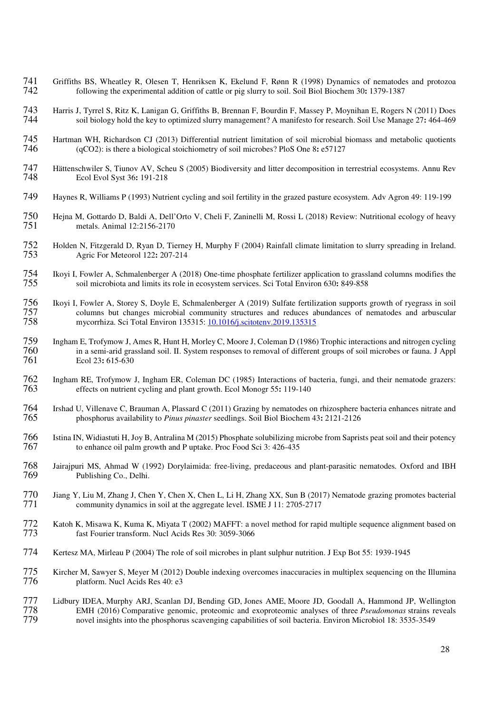- 741 Griffiths BS, Wheatley R, Olesen T, Henriksen K, Ekelund F, Rønn R (1998) Dynamics of nematodes and protozoa<br>742 following the experimental addition of cattle or pig slurry to soil. Soil Biol Biochem 30: 1379-1387 742 following the experimental addition of cattle or pig slurry to soil. Soil Biol Biochem 30**:** 1379-1387
- 743 Harris J, Tyrrel S, Ritz K, Lanigan G, Griffiths B, Brennan F, Bourdin F, Massey P, Moynihan E, Rogers N (2011) Does<br>744 soil biology hold the key to optimized slurry management? A manifesto for research. Soil Use Mana 744 soil biology hold the key to optimized slurry management? A manifesto for research. Soil Use Manage 27**:** 464-469
- 745 Hartman WH, Richardson CJ (2013) Differential nutrient limitation of soil microbial biomass and metabolic quotients 746 (qCO2): is there a biological stoichiometry of soil microbes? PloS One 8: e57127 746 (qCO2): is there a biological stoichiometry of soil microbes? PloS One 8**:** e57127
- 747 Hättenschwiler S, Tiunov AV, Scheu S (2005) Biodiversity and litter decomposition in terrestrial ecosystems. Annu Rev Ecol Evol Syst 36: 191-218
- 749 Haynes R, Williams P (1993) Nutrient cycling and soil fertility in the grazed pasture ecosystem. Adv Agron 49: 119-199
- 750 Hejna M, Gottardo D, Baldi A, Dell'Orto V, Cheli F, Zaninelli M, Rossi L (2018) Review: Nutritional ecology of heavy metals. Animal 12:2156-2170
- 752 Holden N, Fitzgerald D, Ryan D, Tierney H, Murphy F (2004) Rainfall climate limitation to slurry spreading in Ireland. 753 Agric For Meteorol 122**:** 207-214
- 754 Ikoyi I, Fowler A, Schmalenberger A (2018) One-time phosphate fertilizer application to grassland columns modifies the 755 soil microbiota and limits its role in ecosystem services. Sci Total Environ 630**:** 849-858
- 756 Ikoyi I, Fowler A, Storey S, Doyle E, Schmalenberger A (2019) Sulfate fertilization supports growth of ryegrass in soil 757 columns but changes microbial community structures and reduces abundances of nematodes and arbuscular mycorrhiza. Sci Total Environ 135315: 10.1016/j.scitotenv.2019.135315 mycorrhiza. Sci Total Environ 135315: 10.1016/j.scitotenv.2019.135315
- 759 Ingham E, Trofymow J, Ames R, Hunt H, Morley C, Moore J, Coleman D (1986) Trophic interactions and nitrogen cycling<br>760 in a semi-arid grassland soil. II. System responses to removal of different groups of soil microbe 760 in a semi-arid grassland soil. II. System responses to removal of different groups of soil microbes or fauna. J Appl Ecol 23: 615-630
- 762 Ingham RE, Trofymow J, Ingham ER, Coleman DC (1985) Interactions of bacteria, fungi, and their nematode grazers:<br>763 effects on nutrient cycling and plant growth. Ecol Monogr 55: 119-140 763 effects on nutrient cycling and plant growth. Ecol Monogr 55**:** 119-140
- 764 Irshad U, Villenave C, Brauman A, Plassard C (2011) Grazing by nematodes on rhizosphere bacteria enhances nitrate and<br>765 biology phosphorus availability to *Pinus pinaster* seedlings. Soil Biol Biochem 43: 2121-2126 765 phosphorus availability to *Pinus pinaster* seedlings. Soil Biol Biochem 43**:** 2121-2126
- 766 Istina IN, Widiastuti H, Joy B, Antralina M (2015) Phosphate solubilizing microbe from Saprists peat soil and their potency to enhance oil palm growth and P uptake. Proc Food Sci 3: 426-435
- 768 Jairajpuri MS, Ahmad W (1992) Dorylaimida: free-living, predaceous and plant-parasitic nematodes*.* Oxford and IBH Publishing Co., Delhi.
- 770 Jiang Y, Liu M, Zhang J, Chen Y, Chen X, Chen L, Li H, Zhang XX, Sun B (2017) Nematode grazing promotes bacterial<br>771 community dynamics in soil at the aggregate level. ISME J 11: 2705-2717 community dynamics in soil at the aggregate level. ISME J 11: 2705-2717
- 772 Katoh K, Misawa K, Kuma K, Miyata T (2002) MAFFT: a novel method for rapid multiple sequence alignment based on fast Fourier transform. Nucl Acids Res 30: 3059-3066
- 774 Kertesz MA, Mirleau P (2004) The role of soil microbes in plant sulphur nutrition. J Exp Bot 55: 1939-1945
- 775 Kircher M, Sawyer S, Meyer M (2012) Double indexing overcomes inaccuracies in multiplex sequencing on the Illumina<br>776 https://www.patt.com/settler/2012/2012 platform. Nucl Acids Res 40: e3
- 777 Lidbury IDEA, Murphy ARJ, Scanlan DJ, Bending GD, Jones AME, Moore JD, Goodall A, Hammond JP, Wellington<br>778 EMH (2016) Comparative genomic, proteomic and exoproteomic analyses of three *Pseudomonas* strains reveals 778 EMH (2016) Comparative genomic, proteomic and exoproteomic analyses of three *Pseudomonas* strains reveals novel insights into the phosphorus scavenging capabilities of soil bacteria. Environ Microbiol 18: 3535-3549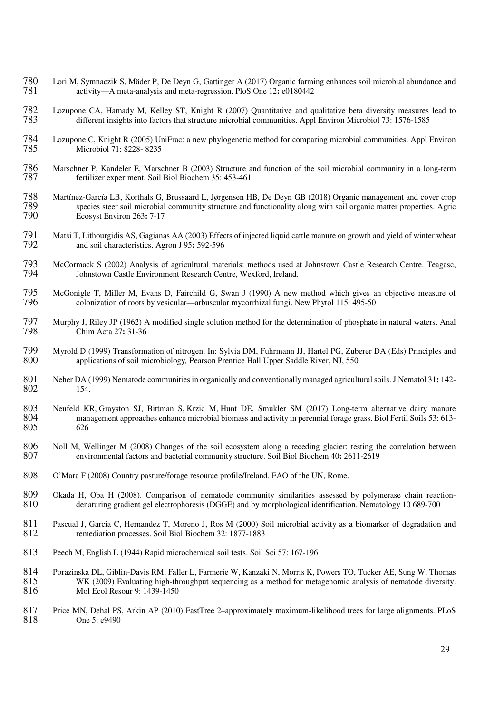- 780 Lori M, Symnaczik S, Mäder P, De Deyn G, Gattinger A (2017) Organic farming enhances soil microbial abundance and<br>781 activity—A meta-analysis and meta-regression. PloS One 12: e0180442 781 activity—A meta-analysis and meta-regression. PloS One 12**:** e0180442
- 782 Lozupone CA, Hamady M, Kelley ST, Knight R (2007) Quantitative and qualitative beta diversity measures lead to different insights into factors that structure microbial communities. Appl Environ Microbiol 73: 1576-1585 different insights into factors that structure microbial communities. Appl Environ Microbiol 73: 1576-1585
- 784 Lozupone C, Knight R (2005) UniFrac: a new phylogenetic method for comparing microbial communities. Appl Environ Microbiol 71: 8228-8235
- 786 Marschner P, Kandeler E, Marschner B (2003) Structure and function of the soil microbial community in a long-term fertilizer experiment. Soil Biol Biochem 35: 453-461
- 788 Martínez-García LB, Korthals G, Brussaard L, Jørgensen HB, De Deyn GB (2018) Organic management and cover crop 789 species steer soil microbial community structure and functionality along with soil organic matter properties. Agric 790 Ecosyst Environ 263: 7-17 Ecosyst Environ 263: 7-17
- 791 Matsi T, Lithourgidis AS, Gagianas AA (2003) Effects of injected liquid cattle manure on growth and yield of winter wheat<br>792 and soil characteristics. Agron J 95: 592-596 and soil characteristics. Agron J 95: 592-596
- 793 McCormack S (2002) Analysis of agricultural materials: methods used at Johnstown Castle Research Centre. Teagasc,<br>794 Johnstown Castle Environment Research Centre, Wexford, Ireland. Johnstown Castle Environment Research Centre, Wexford, Ireland.
- 795 McGonigle T, Miller M, Evans D, Fairchild G, Swan J (1990) A new method which gives an objective measure of colonization of roots by vesicular—arbuscular mycorrhizal fungi. New Phytol 115: 495-501 796 colonization of roots by vesicular—arbuscular mycorrhizal fungi. New Phytol 115: 495-501
- 797 Murphy J, Riley JP (1962) A modified single solution method for the determination of phosphate in natural waters. Anal Chim Acta 27: 31-36 Chim Acta 27: 31-36
- 799 Myrold D (1999) Transformation of nitrogen. In: Sylvia DM, Fuhrmann JJ, Hartel PG, Zuberer DA (Eds) Principles and<br>800 applications of soil microbiology, Pearson Prentice Hall Upper Saddle River, NJ, 550 applications of soil microbiology, Pearson Prentice Hall Upper Saddle River, NJ, 550
- 801 Neher DA (1999) Nematode communities in organically and conventionally managed agricultural soils. J Nematol 31:142-<br>802 154. 154.
- 803 Neufeld KR, Grayston SJ, Bittman S, Krzic M, Hunt DE, Smukler SM (2017) Long-term alternative dairy manure 804 management approaches enhance microbial biomass and activity in perennial forage grass. Biol Fertil Soils 5 management approaches enhance microbial biomass and activity in perennial forage grass. Biol Fertil Soils 53: 613-805 626
- 806 Noll M, Wellinger M (2008) Changes of the soil ecosystem along a receding glacier: testing the correlation between 807 environmental factors and bacterial community structure. Soil Biol Biochem 40: 2611-2619 807 environmental factors and bacterial community structure. Soil Biol Biochem 40**:** 2611-2619
- 808 O'Mara F (2008) Country pasture/forage resource profile/Ireland. FAO of the UN, Rome.
- 809 Okada H, Oba H (2008). Comparison of nematode community similarities assessed by polymerase chain reaction-<br>810 denaturing gradient gel electrophoresis (DGGE) and by morphological identification. Nematology 10 689-700 denaturing gradient gel electrophoresis (DGGE) and by morphological identification. Nematology 10 689-700
- 811 Pascual J, Garcia C, Hernandez T, Moreno J, Ros M (2000) Soil microbial activity as a biomarker of degradation and remediation processes. Soil Biol Biochem 32: 1877-1883 remediation processes. Soil Biol Biochem 32: 1877-1883
- 813 Peech M, English L (1944) Rapid microchemical soil tests. Soil Sci 57: 167-196
- 814 Porazinska DL, Giblin-Davis RM, Faller L, Farmerie W, Kanzaki N, Morris K, Powers TO, Tucker AE, Sung W, Thomas 815 WK (2009) Evaluating high-throughput sequencing as a method for metagenomic analysis of nematode diver 815 WK (2009) Evaluating high-throughput sequencing as a method for metagenomic analysis of nematode diversity.<br>816 Mol Ecol Resour 9: 1439-1450 816 Mol Ecol Resour 9: 1439-1450
- 817 Price MN, Dehal PS, Arkin AP (2010) FastTree 2–approximately maximum-likelihood trees for large alignments. PLoS<br>818 One 5: e9490 One 5: e9490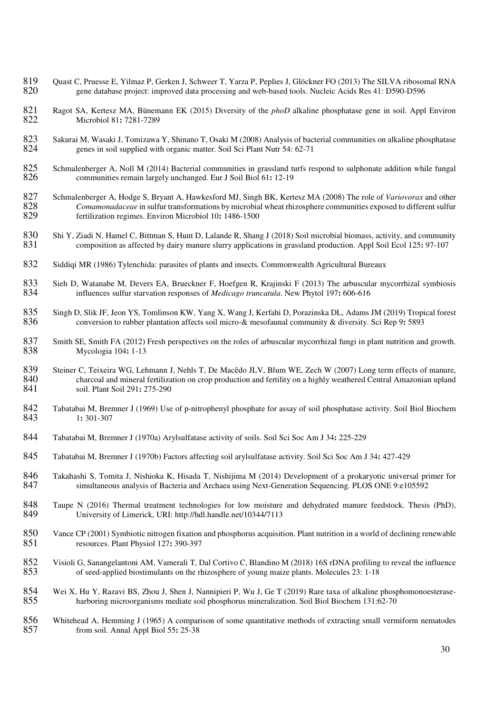- 819 Quast C, Pruesse E, Yilmaz P, Gerken J, Schweer T, Yarza P, Peplies J, Glöckner FO (2013) The SILVA ribosomal RNA<br>820 gene database project: improved data processing and web-based tools. Nucleic Acids Res 41: D590-D596 820 gene database project: improved data processing and web-based tools. Nucleic Acids Res 41: D590-D596
- 821 Ragot SA, Kertesz MA, Bünemann EK (2015) Diversity of the *phoD* alkaline phosphatase gene in soil. Appl Environ 822 Microbiol 81**:** 7281-7289
- 823 Sakurai M, Wasaki J, Tomizawa Y, Shinano T, Osaki M (2008) Analysis of bacterial communities on alkaline phosphatase<br>824 genes in soil supplied with organic matter. Soil Sci Plant Nutr 54: 62-71 genes in soil supplied with organic matter. Soil Sci Plant Nutr 54: 62-71
- 825 Schmalenberger A, Noll M (2014) Bacterial communities in grassland turfs respond to sulphonate addition while fungal<br>826 communities remain largely unchanged. Eur J Soil Biol 61: 12-19 826 communities remain largely unchanged. Eur J Soil Biol 61**:** 12-19
- 827 Schmalenberger A, Hodge S, Bryant A, Hawkesford MJ, Singh BK, Kertesz MA (2008) The role of *Variovorax* and other Comamonadaceae in sulfur transformations by microbial wheat rhizosphere communities exposed to differen 828 *Comamonadaceae* in sulfur transformations by microbial wheat rhizosphere communities exposed to different sulfur 829 *fertilization regimes.* Environ Microbiol 10: 1486-1500 829 fertilization regimes. Environ Microbiol 10**:** 1486-1500
- 830 Shi Y, Ziadi N, Hamel C, Bittman S, Hunt D, Lalande R, Shang J (2018) Soil microbial biomass, activity, and community 831 composition as affected by dairy manure slurry applications in grassland production. Appl Soil E 831 composition as affected by dairy manure slurry applications in grassland production. Appl Soil Ecol 125**:** 97-107
- 832 Siddiqi MR (1986) Tylenchida: parasites of plants and insects*.* Commonwealth Agricultural Bureaux
- 833 Sieh D, Watanabe M, Devers EA, Brueckner F, Hoefgen R, Krajinski F (2013) The arbuscular mycorrhizal symbiosis 834 influences sulfur starvation responses of *Medicago truncatula*. New Phytol 197: 606-616 834 influences sulfur starvation responses of *Medicago truncatula*. New Phytol 197**:** 606-616
- 835 Singh D, Slik JF, Jeon YS, Tomlinson KW, Yang X, Wang J, Kerfahi D, Porazinska DL, Adams JM (2019) Tropical forest conversion to rubber plantation affects soil micro-& mesofaunal community & diversity. Sci Rep 9: 5893 836 conversion to rubber plantation affects soil micro-& mesofaunal community & diversity. Sci Rep 9**:** 5893
- 837 Smith SE, Smith FA (2012) Fresh perspectives on the roles of arbuscular mycorrhizal fungi in plant nutrition and growth.<br>838 Mycologia 104: 1-13 838 Mycologia 104**:** 1-13
- 839 Steiner C, Teixeira WG, Lehmann J, Nehls T, De Macêdo JLV, Blum WE, Zech W (2007) Long term effects of manure,<br>840 charcoal and mineral fertilization on crop production and fertility on a highly weathered Central Amazo 840 charcoal and mineral fertilization on crop production and fertility on a highly weathered Central Amazonian upland<br>841 soil. Plant Soil 291: 275-290 841 soil. Plant Soil 291**:** 275-290
- 842 Tabatabai M, Bremner J (1969) Use of p-nitrophenyl phosphate for assay of soil phosphatase activity. Soil Biol Biochem 843 1**:** 301-307
- 844 Tabatabai M, Bremner J (1970a) Arylsulfatase activity of soils. Soil Sci Soc Am J 34**:** 225-229
- 845 Tabatabai M, Bremner J (1970b) Factors affecting soil arylsulfatase activity. Soil Sci Soc Am J 34**:** 427-429
- 846 Takahashi S, Tomita J, Nishioka K, Hisada T, Nishijima M (2014) Development of a prokaryotic universal primer for 847 simultaneous analysis of Bacteria and Archaea using Next-Generation Sequencing. PLOS ONE 9:e105592 simultaneous analysis of Bacteria and Archaea using Next-Generation Sequencing. PLOS ONE 9:e105592
- 848 Taupe N (2016) Thermal treatment technologies for low moisture and dehydrated manure feedstock. Thesis (PhD),<br>849 University of Limerick, URI: http://hdl.handle.net/10344/7113 849 University of Limerick, URI: http://hdl.handle.net/10344/7113
- 850 Vance CP (2001) Symbiotic nitrogen fixation and phosphorus acquisition. Plant nutrition in a world of declining renewable<br>851 securices. Plant Physiol 127: 390-397 851 resources. Plant Physiol 127**:** 390-397
- 852 Visioli G, Sanangelantoni AM, Vamerali T, Dal Cortivo C, Blandino M (2018) 16S rDNA profiling to reveal the influence<br>853 of seed-applied biostimulants on the rhizosphere of young maize plants. Molecules 23: 1-18 of seed-applied biostimulants on the rhizosphere of young maize plants. Molecules 23: 1-18
- 854 Wei X, Hu Y, Razavi BS, Zhou J, Shen J, Nannipieri P, Wu J, Ge T (2019) Rare taxa of alkaline phosphomonoesterase-<br>855 harboring microorganisms mediate soil phosphorus mineralization. Soil Biol Biochem 131:62-70 harboring microorganisms mediate soil phosphorus mineralization. Soil Biol Biochem 131:62-70
- 856 Whitehead A, Hemming J (1965) A comparison of some quantitative methods of extracting small vermiform nematodes<br>857 from soil. Annal Appl Biol 55: 25-38 857 from soil. Annal Appl Biol 55**:** 25-38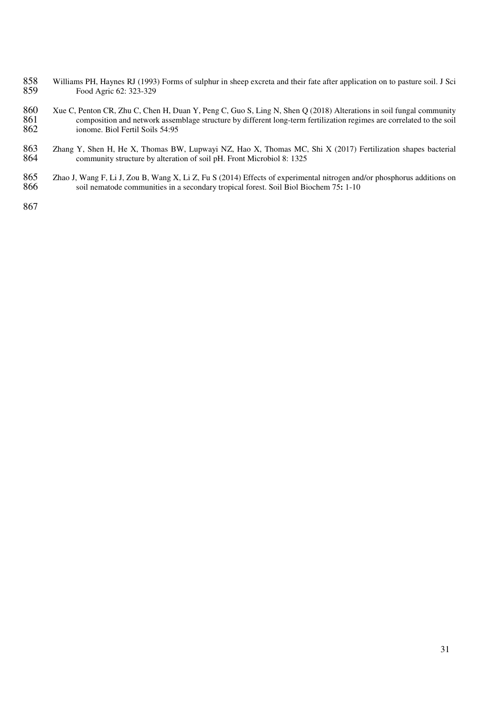- 858 Williams PH, Haynes RJ (1993) Forms of sulphur in sheep excreta and their fate after application on to pasture soil. J Sci 859 Food Agric 62: 323-329 Food Agric 62: 323-329
- 860 Xue C, Penton CR, Zhu C, Chen H, Duan Y, Peng C, Guo S, Ling N, Shen Q (2018) Alterations in soil fungal community<br>861 composition and network assemblage structure by different long-term fertilization regimes are corre 861 composition and network assemblage structure by different long-term fertilization regimes are correlated to the soil<br>862 ionome. Biol Fertil Soils 54:95 ionome. Biol Fertil Soils 54:95
- 863 Zhang Y, Shen H, He X, Thomas BW, Lupwayi NZ, Hao X, Thomas MC, Shi X (2017) Fertilization shapes bacterial community structure by alteration of soil pH. Front Microbiol 8: 1325 community structure by alteration of soil pH. Front Microbiol 8: 1325
- 865 Zhao J, Wang F, Li J, Zou B, Wang X, Li Z, Fu S (2014) Effects of experimental nitrogen and/or phosphorus additions on soil nematode communities in a secondary tropical forest. Soil Biol Biochem 75: 1-10 866 soil nematode communities in a secondary tropical forest. Soil Biol Biochem 75**:** 1-10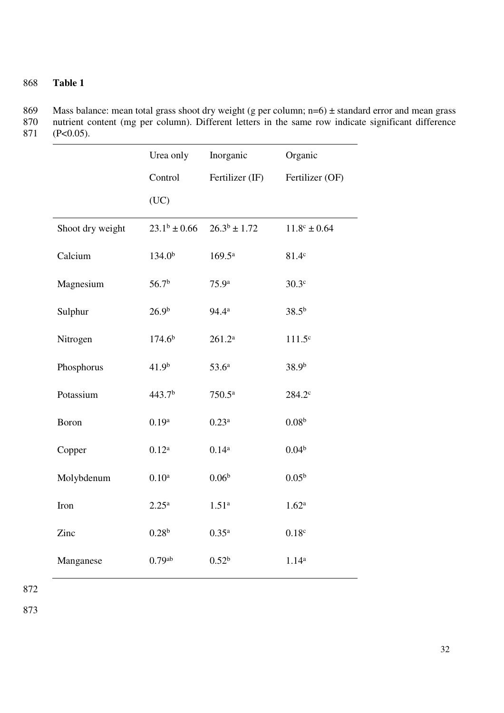## 868 **Table 1**

869 Mass balance: mean total grass shoot dry weight (g per column;  $n=6$ )  $\pm$  standard error and mean grass 870 nutrient content (mg per column). Different letters in the same row indicate significant difference 871 (P<0.05).

|                  | Urea only          | Inorganic         | Organic                 |
|------------------|--------------------|-------------------|-------------------------|
|                  | Control            | Fertilizer (IF)   | Fertilizer (OF)         |
|                  | (UC)               |                   |                         |
| Shoot dry weight | $23.1^b \pm 0.66$  | $26.3^b \pm 1.72$ | $11.8^{\circ} \pm 0.64$ |
| Calcium          | $134.0^{b}$        | $169.5^{\rm a}$   | $81.4^\circ$            |
| Magnesium        | 56.7 <sup>b</sup>  | 75.9 <sup>a</sup> | 30.3 <sup>c</sup>       |
| Sulphur          | 26.9 <sup>b</sup>  | 94.4 <sup>a</sup> | $38.5^{b}$              |
| Nitrogen         | $174.6^{b}$        | $261.2^{\rm a}$   | 111.5 <sup>c</sup>      |
| Phosphorus       | 41.9 <sup>b</sup>  | 53.6 <sup>a</sup> | 38.9 <sup>b</sup>       |
| Potassium        | 443.7 <sup>b</sup> | $750.5^{\rm a}$   | 284.2c                  |
| Boron            | 0.19 <sup>a</sup>  | $0.23^{a}$        | 0.08 <sup>b</sup>       |
| Copper           | $0.12^{\rm a}$     | $0.14^{a}$        | 0.04 <sup>b</sup>       |
| Molybdenum       | 0.10 <sup>a</sup>  | 0.06 <sup>b</sup> | $0.05^{b}$              |
| Iron             | $2.25^{\rm a}$     | $1.51^{\rm a}$    | $1.62^{\rm a}$          |
| Zinc             | 0.28 <sup>b</sup>  | $0.35^{a}$        | 0.18 <sup>c</sup>       |
| Manganese        | 0.79 <sup>ab</sup> | 0.52 <sup>b</sup> | $1.14^{a}$              |

872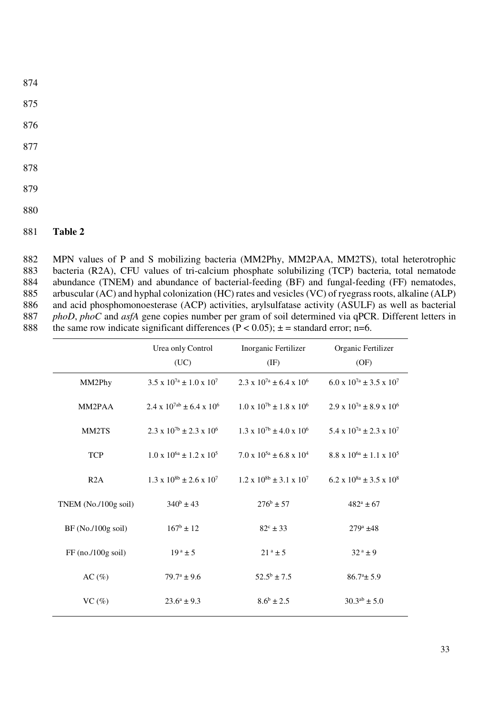- 874
- 875
- 876
- 877
- 
- 878
- 879
- 880
- 881 **Table 2**

882 MPN values of P and S mobilizing bacteria (MM2Phy, MM2PAA, MM2TS), total heterotrophic 883 bacteria (R2A), CFU values of tri-calcium phosphate solubilizing (TCP) bacteria, total nematode 884 abundance (TNEM) and abundance of bacterial-feeding (BF) and fungal-feeding (FF) nematodes,<br>885 arbuscular (AC) and hyphal colonization (HC) rates and vesicles (VC) of rvegrass roots, alkaline (ALP) 885 arbuscular (AC) and hyphal colonization (HC) rates and vesicles (VC) of ryegrass roots, alkaline (ALP)<br>886 and acid phosphomonoesterase (ACP) activities, ary sulfatase activity (ASULF) as well as bacterial and acid phosphomonoesterase (ACP) activities, arylsulfatase activity (ASULF) as well as bacterial<br>887 *phoD, phoC* and *asfA* gene copies number per gram of soil determined via qPCR. Different letters in 887 *phoD*, *phoC* and *asfA* gene copies number per gram of soil determined via qPCR. Different letters in the same row indicate significant differences ( $P < 0.05$ );  $\pm$  = standard error; n=6. the same row indicate significant differences ( $\overrightarrow{P}$  < 0.05);  $\pm$  = standard error; n=6.

|                      | Urea only Control                          | Inorganic Fertilizer                       | Organic Fertilizer                         |
|----------------------|--------------------------------------------|--------------------------------------------|--------------------------------------------|
|                      | (UC)                                       | $(\text{IF})$                              | (OF)                                       |
| MM2Phy               | $3.5 \times 10^{7a} \pm 1.0 \times 10^{7}$ | $2.3 \times 10^{7a} \pm 6.4 \times 10^{6}$ | 6.0 x $10^{7a} \pm 3.5$ x $10^{7}$         |
| MM2PAA               | $2.4 \times 10^{7ab} \pm 6.4 \times 10^6$  | $1.0 \times 10^{7b} \pm 1.8 \times 10^{6}$ | $2.9 \times 10^{7a} \pm 8.9 \times 10^{6}$ |
| MM <sub>2</sub> TS   | $2.3 \times 10^{7b} \pm 2.3 \times 10^{6}$ | $1.3 \times 10^{7b} + 4.0 \times 10^6$     | 5.4 x $10^{7a} \pm 2.3$ x $10^{7}$         |
| <b>TCP</b>           | $1.0 \times 10^{6a} \pm 1.2 \times 10^5$   | $7.0 \times 10^{5a} \pm 6.8 \times 10^{4}$ | 8.8 x $10^{6a} \pm 1.1$ x $10^5$           |
| R2A                  | $1.3 \times 10^{8b} \pm 2.6 \times 10^{7}$ | $1.2 \times 10^{8b} \pm 3.1 \times 10^{7}$ | 6.2 x $10^{8a} \pm 3.5$ x $10^8$           |
| TNEM (No./100g soil) | $340^b \pm 43$                             | $276^b \pm 57$                             | $482^{\rm a} \pm 67$                       |
| BF (No./100g soil)   | $167^{\rm b} \pm 12$                       | $82^{\circ} \pm 33$                        | $279^a \pm 48$                             |
| FF (no./100g soil)   | $19^a \pm 5$                               | $21^a \pm 5$                               | $32^a \pm 9$                               |
| $AC(\%)$             | $79.7^{\mathrm{a}} \pm 9.6^{\circ}$        | $52.5^{\rm b} \pm 7.5$                     | $86.7^{\mathrm{a}} \pm 5.9$                |
| VC(%)                | $23.6^a \pm 9.3$                           | $8.6^{\rm b} \pm 2.5$                      | $30.3^{ab} \pm 5.0$                        |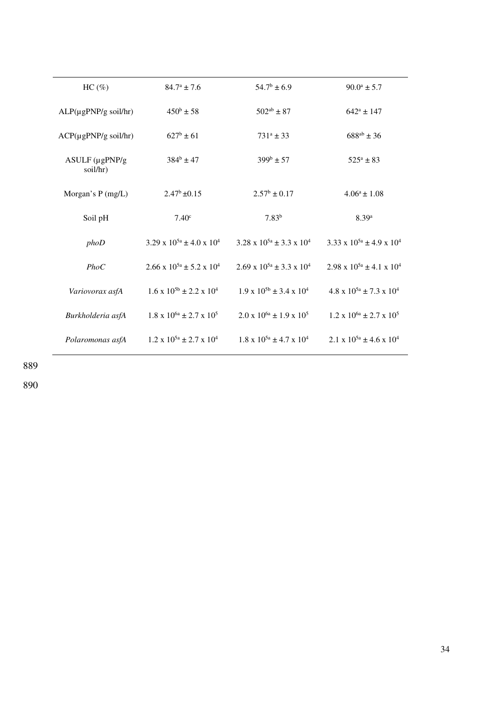| HC(%)                             | $84.7^{\circ} \pm 7.6$                     | $54.7^{\rm b} \pm 6.9$                     | $90.0^{\rm a} \pm 5.7$                     |
|-----------------------------------|--------------------------------------------|--------------------------------------------|--------------------------------------------|
| $ALP(\mu gPNP/g \text{ soil/hr})$ | $450^{\rm b} \pm 58$                       | $502^{ab} \pm 87$                          | $642^a \pm 147$                            |
| $ACP(\mu gPNP/g \text{ soil/hr})$ | $627^b \pm 61$                             | $731^a \pm 33$                             | $688^{ab} \pm 36$                          |
| ASULF (µgPNP/g<br>soil/hr)        | $384^b \pm 47$                             | $399^b \pm 57$                             | $525^{\circ}$ ± 83                         |
| Morgan's $P$ (mg/L)               | $2.47^b \pm 0.15$                          | $2.57^{\rm b} \pm 0.17$                    | $4.06^a \pm 1.08$                          |
| Soil pH                           | 7.40 <sup>c</sup>                          | $7.83^{b}$                                 | 8.39 <sup>a</sup>                          |
| phoD                              | $3.29 \times 10^{5a} + 4.0 \times 10^{4}$  | $3.28 \times 10^{5a} + 3.3 \times 10^{4}$  | $3.33 \times 10^{5a} + 4.9 \times 10^{4}$  |
| PhoC                              | $2.66 \times 10^{5a} + 5.2 \times 10^{4}$  | $2.69 \times 10^{5a} + 3.3 \times 10^{4}$  | $2.98 \times 10^{5a} + 4.1 \times 10^{4}$  |
| Variovorax asfA                   | $1.6 \times 10^{5b} \pm 2.2 \times 10^{4}$ | $1.9 \times 10^{5b} \pm 3.4 \times 10^{4}$ | $4.8 \times 10^{5a} \pm 7.3 \times 10^{4}$ |
| Burkholderia asfA                 | $1.8 \times 10^{6a} \pm 2.7 \times 10^5$   | $2.0 \times 10^{6a} \pm 1.9 \times 10^5$   | $1.2 \times 10^{6a} + 2.7 \times 10^5$     |
| Polaromonas asfA                  | $1.2 \times 10^{5a} + 2.7 \times 10^{4}$   | $1.8 \times 10^{5a} \pm 4.7 \times 10^{4}$ | 2.1 x $10^{5a} \pm 4.6$ x $10^4$           |

889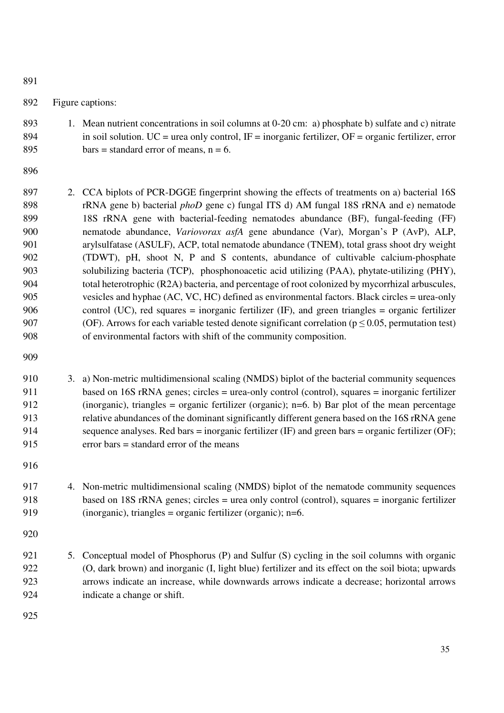# 892 Figure captions:

- 893 1. Mean nutrient concentrations in soil columns at 0-20 cm: a) phosphate b) sulfate and c) nitrate 894 in soil solution. UC = urea only control, IF = inorganic fertilizer, OF = organic fertilizer, error 895 bars = standard error of means,  $n = 6$ .
- 896
- 897 2. CCA biplots of PCR-DGGE fingerprint showing the effects of treatments on a) bacterial 16S 898 rRNA gene b) bacterial *phoD* gene c) fungal ITS d) AM fungal 18S rRNA and e) nematode 899 18S rRNA gene with bacterial-feeding nematodes abundance (BF), fungal-feeding (FF) 900 nematode abundance, *Variovorax asfA* gene abundance (Var), Morgan's P (AvP), ALP, 901 arylsulfatase (ASULF), ACP, total nematode abundance (TNEM), total grass shoot dry weight 902 (TDWT), pH, shoot N, P and S contents, abundance of cultivable calcium-phosphate 903 solubilizing bacteria (TCP), phosphonoacetic acid utilizing (PAA), phytate-utilizing (PHY), 904 total heterotrophic (R2A) bacteria, and percentage of root colonized by mycorrhizal arbuscules, 905 vesicles and hyphae (AC, VC, HC) defined as environmental factors. Black circles = urea-only 906 control (UC), red squares = inorganic fertilizer (IF), and green triangles = organic fertilizer 907 (OF). Arrows for each variable tested denote significant correlation ( $p \le 0.05$ , permutation test) 908 of environmental factors with shift of the community composition.
- 909
- 910 3. a) Non-metric multidimensional scaling (NMDS) biplot of the bacterial community sequences 911 based on 16S rRNA genes; circles = urea-only control (control), squares = inorganic fertilizer 912 (inorganic), triangles = organic fertilizer (organic); n=6. b) Bar plot of the mean percentage 913 relative abundances of the dominant significantly different genera based on the 16S rRNA gene 914 sequence analyses. Red bars = inorganic fertilizer (IF) and green bars = organic fertilizer (OF); 915 error bars = standard error of the means
- 916
- 917 4. Non-metric multidimensional scaling (NMDS) biplot of the nematode community sequences 918 based on 18S rRNA genes; circles = urea only control (control), squares = inorganic fertilizer 919 (inorganic), triangles = organic fertilizer (organic); n=6.
- 920
- 921 5. Conceptual model of Phosphorus (P) and Sulfur (S) cycling in the soil columns with organic 922 (O, dark brown) and inorganic (I, light blue) fertilizer and its effect on the soil biota; upwards 923 arrows indicate an increase, while downwards arrows indicate a decrease; horizontal arrows 924 indicate a change or shift.
- 925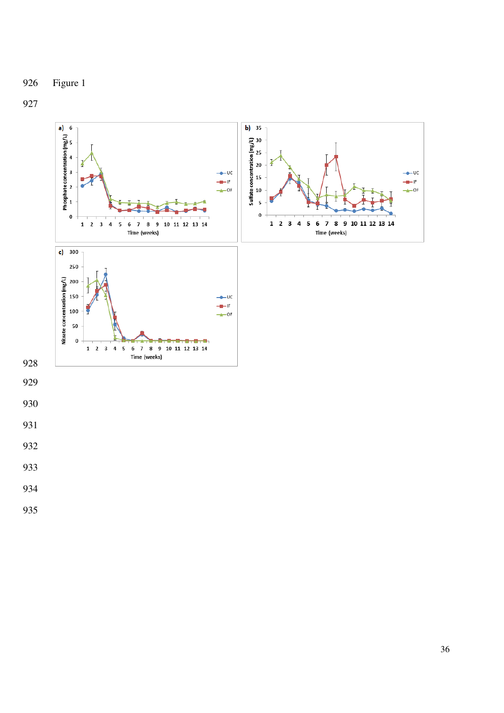

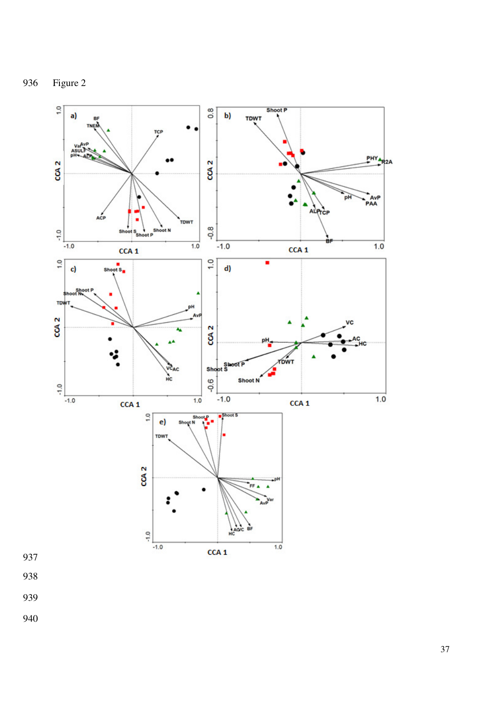

- 
- 
-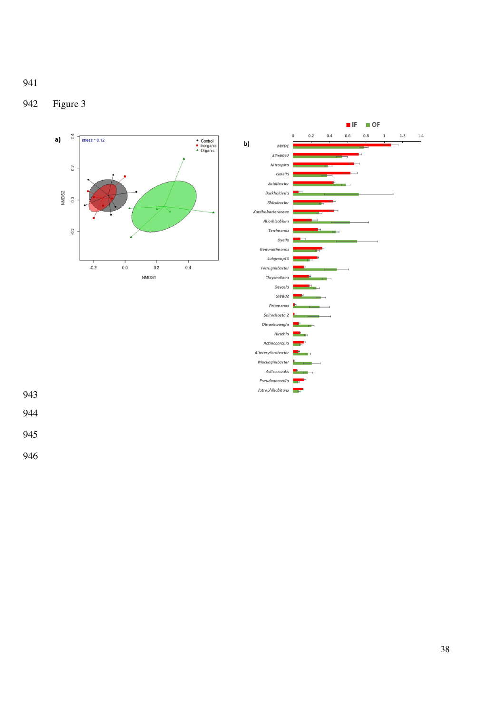

942 Figure 3

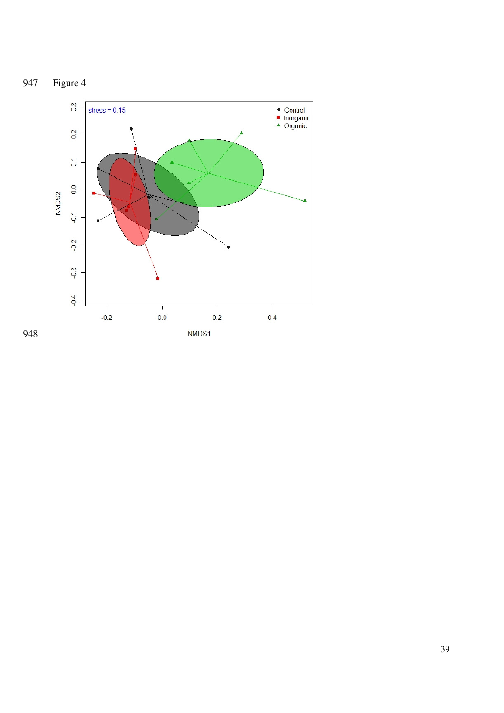